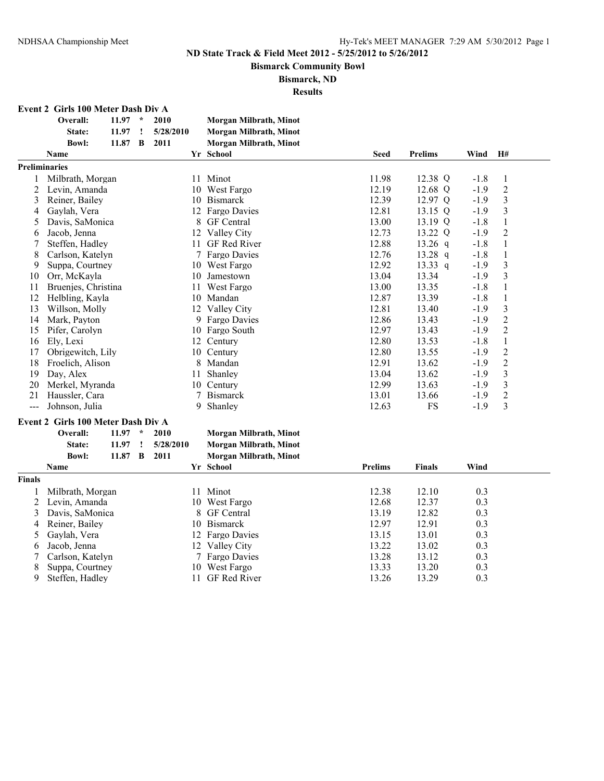**Bismarck Community Bowl**

**Bismarck, ND**

| Event 2 Girls 100 Meter Dash Div A |  |  |  |  |  |  |
|------------------------------------|--|--|--|--|--|--|
|------------------------------------|--|--|--|--|--|--|

|                | Overall:                           | 11.97     | $\star$ | 2010            |       | <b>Morgan Milbrath, Minot</b> |                |                |        |                         |
|----------------|------------------------------------|-----------|---------|-----------------|-------|-------------------------------|----------------|----------------|--------|-------------------------|
|                | State:                             | 11.97     | 1       | 5/28/2010       |       | <b>Morgan Milbrath, Minot</b> |                |                |        |                         |
|                | <b>Bowl:</b>                       | 11.87 B   |         | 2011            |       | <b>Morgan Milbrath, Minot</b> |                |                |        |                         |
|                | Name                               |           |         |                 |       | Yr School                     | <b>Seed</b>    | <b>Prelims</b> | Wind   | H#                      |
| Preliminaries  |                                    |           |         |                 |       |                               |                |                |        |                         |
| 1              | Milbrath, Morgan                   |           |         |                 |       | 11 Minot                      | 11.98          | 12.38 Q        | $-1.8$ | $\mathbf{1}$            |
| $\overline{c}$ | Levin, Amanda                      |           |         |                 |       | 10 West Fargo                 | 12.19          | 12.68 Q        | $-1.9$ | $\overline{c}$          |
| 3              | Reiner, Bailey                     |           |         |                 |       | 10 Bismarck                   | 12.39          | 12.97 Q        | $-1.9$ | $\mathfrak{Z}$          |
| 4              | Gaylah, Vera                       |           |         |                 |       | 12 Fargo Davies               | 12.81          | 13.15 Q        | $-1.9$ | $\mathfrak{Z}$          |
| 5              | Davis, SaMonica                    |           |         |                 |       | 8 GF Central                  | 13.00          | 13.19 Q        | $-1.8$ | $\mathbf{1}$            |
| 6              | Jacob, Jenna                       |           |         |                 |       | 12 Valley City                | 12.73          | 13.22 Q        | $-1.9$ | $\overline{2}$          |
| 7              | Steffen, Hadley                    |           |         |                 |       | 11 GF Red River               | 12.88          | $13.26$ q      | $-1.8$ | $\mathbf{1}$            |
| 8              | Carlson, Katelyn                   |           |         |                 |       | 7 Fargo Davies                | 12.76          | $13.28$ q      | $-1.8$ | $\mathbf{1}$            |
| 9              | Suppa, Courtney                    |           |         |                 |       | 10 West Fargo                 | 12.92          | 13.33 $q$      | $-1.9$ | $\mathfrak{Z}$          |
| 10             | Orr, McKayla                       |           |         |                 |       | 10 Jamestown                  | 13.04          | 13.34          | $-1.9$ | $\mathfrak{Z}$          |
| 11             | Bruenjes, Christina                |           |         |                 | 11    | West Fargo                    | 13.00          | 13.35          | $-1.8$ | $\mathbf{1}$            |
| 12             | Helbling, Kayla                    |           |         |                 |       | 10 Mandan                     | 12.87          | 13.39          | $-1.8$ | $\mathbf{1}$            |
| 13             | Willson, Molly                     |           |         |                 |       | 12 Valley City                | 12.81          | 13.40          | $-1.9$ | $\mathfrak{Z}$          |
| 14             | Mark, Payton                       |           |         |                 | 9     | <b>Fargo Davies</b>           | 12.86          | 13.43          | $-1.9$ | $\overline{2}$          |
| 15             | Pifer, Carolyn                     |           |         |                 |       | 10 Fargo South                | 12.97          | 13.43          | $-1.9$ | $\overline{c}$          |
| 16             | Ely, Lexi                          |           |         |                 |       | 12 Century                    | 12.80          | 13.53          | $-1.8$ | $\mathbf{1}$            |
| 17             | Obrigewitch, Lily                  |           |         |                 |       | 10 Century                    | 12.80          | 13.55          | $-1.9$ | $\overline{c}$          |
| 18             | Froelich, Alison                   |           |         |                 | 8     | Mandan                        | 12.91          | 13.62          | $-1.9$ | $\overline{c}$          |
| 19             | Day, Alex                          |           |         |                 | 11    | Shanley                       | 13.04          | 13.62          | $-1.9$ | $\mathfrak{Z}$          |
| 20             | Merkel, Myranda                    |           |         |                 |       | 10 Century                    | 12.99          | 13.63          | $-1.9$ | $\overline{\mathbf{3}}$ |
| 21             | Haussler, Cara                     |           |         |                 | 7     | <b>Bismarck</b>               | 13.01          | 13.66          | $-1.9$ | $\overline{2}$          |
| $\overline{a}$ | Johnson, Julia                     |           |         |                 | 9     | Shanley                       | 12.63          | <b>FS</b>      | $-1.9$ | $\overline{3}$          |
|                | Event 2 Girls 100 Meter Dash Div A |           |         |                 |       |                               |                |                |        |                         |
|                | Overall:                           | $11.97 *$ |         | 2010            |       | <b>Morgan Milbrath, Minot</b> |                |                |        |                         |
|                | State:                             | 11.97     | ÷       | 5/28/2010       |       | <b>Morgan Milbrath, Minot</b> |                |                |        |                         |
|                | <b>Bowl:</b>                       | 11.87 B   |         | 2011            |       | Morgan Milbrath, Minot        |                |                |        |                         |
|                | Name                               |           |         |                 |       | Yr School                     | <b>Prelims</b> | <b>Finals</b>  | Wind   |                         |
| Finals         |                                    |           |         |                 |       |                               |                |                |        |                         |
| $\mathbf{1}$   | Milbrath, Morgan                   |           |         |                 |       | 11 Minot                      | 12.38          | 12.10          | 0.3    |                         |
| $\overline{2}$ | Levin, Amanda                      |           |         |                 |       | 10 West Fargo                 | 12.68          | 12.37          | 0.3    |                         |
| 3              | Davis, SaMonica                    |           |         |                 |       | 8 GF Central                  | 13.19          | 12.82          | 0.3    |                         |
| 4              | Reiner, Bailey                     |           |         | 10 Bismarck     | 12.97 | 12.91                         | 0.3            |                |        |                         |
| 5              | Gaylah, Vera                       |           |         | 12 Fargo Davies | 13.15 | 13.01                         | 0.3            |                |        |                         |
| 6              | Jacob, Jenna                       |           |         | 12 Valley City  | 13.22 | 13.02                         | 0.3            |                |        |                         |
| 7              | Carlson, Katelyn                   |           |         |                 |       | 7 Fargo Davies                | 13.28          | 13.12          | 0.3    |                         |
| 8              | Suppa, Courtney                    |           |         |                 |       | 10 West Fargo                 | 13.33          | 13.20          | 0.3    |                         |
| 9              | Steffen, Hadley                    |           |         |                 |       | 11 GF Red River               | 13.26          | 13.29          | 0.3    |                         |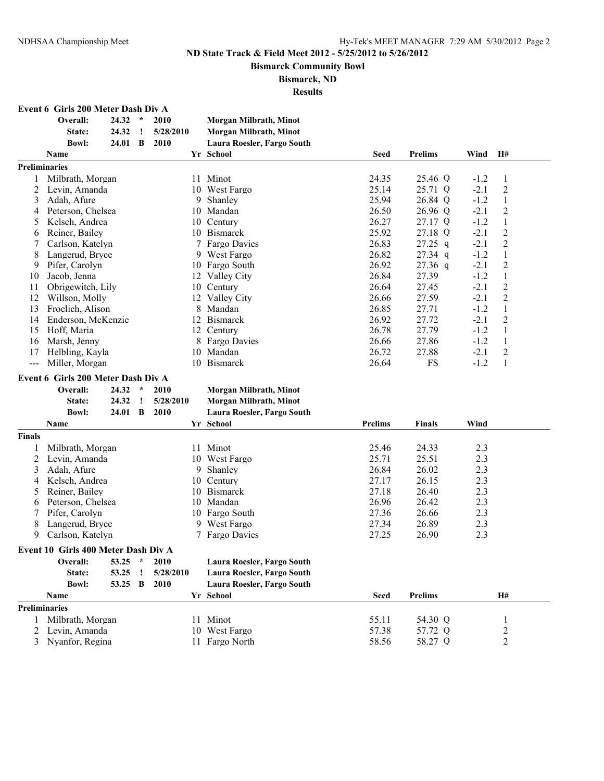**Bismarck Community Bowl**

**Bismarck, ND**

**Results**

|  | <b>Event 6 Girls 200 Meter Dash Div A</b> |  |  |  |  |
|--|-------------------------------------------|--|--|--|--|
|--|-------------------------------------------|--|--|--|--|

|                      | Overall:<br>State:                 | 24.32<br>24.32 | $\star$ | 2010<br>5/28/2010 | Morgan Milbrath, Minot<br><b>Morgan Milbrath, Minot</b> |             |                |        |                |
|----------------------|------------------------------------|----------------|---------|-------------------|---------------------------------------------------------|-------------|----------------|--------|----------------|
|                      | <b>Bowl:</b>                       | 24.01          | B       | 2010              | Laura Roesler, Fargo South                              |             |                |        |                |
|                      | <b>Name</b>                        |                |         |                   | Yr School                                               | <b>Seed</b> | <b>Prelims</b> | Wind   | H#             |
| <b>Preliminaries</b> |                                    |                |         |                   |                                                         |             |                |        |                |
|                      | Milbrath, Morgan                   |                |         | 11                | Minot                                                   | 24.35       | 25.46 Q        | $-1.2$ | 1              |
| 2                    | Levin, Amanda                      |                |         | 10                | West Fargo                                              | 25.14       | 25.71 Q        | $-2.1$ | $\overline{2}$ |
| 3                    | Adah, Afure                        |                |         | 9                 | Shanley                                                 | 25.94       | 26.84 Q        | $-1.2$ | 1              |
| 4                    | Peterson. Chelsea                  |                |         | 10                | Mandan                                                  | 26.50       | 26.96 Q        | $-2.1$ | $\overline{2}$ |
| 5                    | Kelsch, Andrea                     |                |         | 10                | Century                                                 | 26.27       | 27.17 Q        | $-1.2$ | 1              |
| 6                    | Reiner, Bailey                     |                |         | 10                | <b>Bismarck</b>                                         | 25.92       | 27.18 Q        | $-2.1$ | $\overline{c}$ |
|                      | Carlson, Katelyn                   |                |         |                   | Fargo Davies                                            | 26.83       | $27.25$ q      | $-2.1$ | $\overline{2}$ |
| 8                    | Langerud, Bryce                    |                |         |                   | 9 West Fargo                                            | 26.82       | $27.34$ q      | $-1.2$ | 1              |
| 9                    | Pifer, Carolyn                     |                |         | 10                | Fargo South                                             | 26.92       | $27.36$ q      | $-2.1$ | $\overline{2}$ |
| 10                   | Jacob. Jenna                       |                |         | 12                | Valley City                                             | 26.84       | 27.39          | $-1.2$ | 1              |
| 11                   | Obrigewitch, Lily                  |                |         | 10                | Century                                                 | 26.64       | 27.45          | $-2.1$ | $\overline{2}$ |
| 12                   | Willson, Molly                     |                |         | 12                | Valley City                                             | 26.66       | 27.59          | $-2.1$ | $\overline{2}$ |
| 13                   | Froelich, Alison                   |                |         | 8                 | Mandan                                                  | 26.85       | 27.71          | $-1.2$ | 1              |
| 14                   | Enderson, McKenzie                 |                |         | 12                | <b>Bismarck</b>                                         | 26.92       | 27.72          | $-2.1$ | $\overline{2}$ |
| 15                   | Hoff, Maria                        |                |         | 12                | Century                                                 | 26.78       | 27.79          | $-1.2$ | 1              |
| 16                   | Marsh, Jenny                       |                |         |                   | Fargo Davies                                            | 26.66       | 27.86          | $-1.2$ | $\mathbf{1}$   |
| 17                   | Helbling, Kayla                    |                |         | 10                | Mandan                                                  | 26.72       | 27.88          | $-2.1$ | $\overline{2}$ |
| $---$                | Miller, Morgan                     |                |         | 10                | <b>Bismarck</b>                                         | 26.64       | FS             | $-1.2$ | 1              |
|                      | Event 6 Girls 200 Meter Dash Div A |                |         |                   |                                                         |             |                |        |                |
|                      | Overall:                           | 24.32          | $\star$ | 2010              | Morgan Milbrath, Minot                                  |             |                |        |                |
|                      | State:                             | 24.32          |         | 5/28/2010         | Morgan Milbrath, Minot                                  |             |                |        |                |
|                      | <b>Bowl:</b>                       | 24.01          | B       | 2010              | Laura Roesler, Fargo South                              |             |                |        |                |

|               | Name                                |               |   |                  | Yr School                  | <b>Prelims</b> | <b>Finals</b>  | Wind           |  |
|---------------|-------------------------------------|---------------|---|------------------|----------------------------|----------------|----------------|----------------|--|
| <b>Finals</b> |                                     |               |   |                  |                            |                |                |                |  |
|               | Milbrath, Morgan                    |               |   | 11               | Minot                      | 25.46          | 24.33          | 2.3            |  |
|               | Levin, Amanda                       |               |   |                  | 10 West Fargo              | 25.71          | 25.51          | 2.3            |  |
| 3             | Adah, Afure                         |               |   |                  | Shanley<br>9.              | 26.84          | 26.02          | 2.3            |  |
| 4             | Kelsch, Andrea                      |               |   | 10               | Century                    | 27.17          | 26.15          | 2.3            |  |
| 5             | Reiner, Bailey                      |               |   | 10.              | <b>Bismarck</b>            | 27.18          | 26.40          | 2.3            |  |
| 6             | Peterson, Chelsea                   |               |   |                  | 10 Mandan                  | 26.96          | 26.42          | 2.3            |  |
|               | Pifer, Carolyn                      |               |   |                  | 10 Fargo South             | 27.36          | 26.66          | 2.3            |  |
| 8             | Langerud, Bryce                     |               |   | West Fargo<br>9. | 27.34                      | 26.89          | 2.3            |                |  |
| 9             | Carlson, Katelyn                    |               |   | 7 Fargo Davies   | 27.25                      | 26.90          | 2.3            |                |  |
|               | Event 10 Girls 400 Meter Dash Div A |               |   |                  |                            |                |                |                |  |
|               | Overall:                            | 53.25         | ÷ | 2010             | Laura Roesler, Fargo South |                |                |                |  |
|               | State:                              | 53.25         | I | 5/28/2010        | Laura Roesler, Fargo South |                |                |                |  |
|               | <b>Bowl:</b>                        | 53.25         | B | 2010             | Laura Roesler, Fargo South |                |                |                |  |
|               | Name                                |               |   |                  | Yr School                  | <b>Seed</b>    | <b>Prelims</b> | <b>H#</b>      |  |
|               | <b>Preliminaries</b>                |               |   |                  |                            |                |                |                |  |
|               | Milbrath, Morgan                    |               |   | 11               | Minot                      | 55.11          | 54.30 Q        |                |  |
|               |                                     | Levin, Amanda |   | 10               | West Fargo                 | 57.38          | 57.72 Q        | $\overline{c}$ |  |
| 3             | Nyanfor, Regina                     |               |   | 11-              | Fargo North                | 58.56          | 58.27 Q        | $\overline{2}$ |  |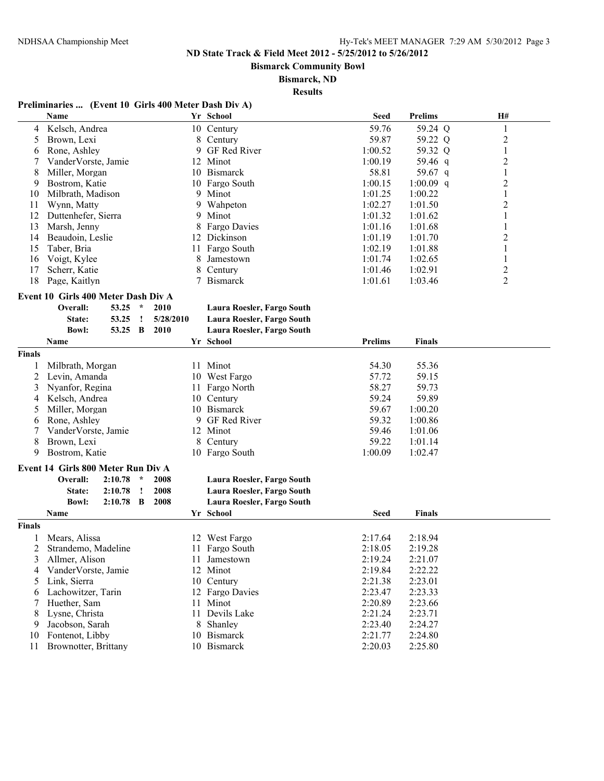**Bismarck Community Bowl**

#### **Bismarck, ND**

**Results**

# **Preliminaries ... (Event 10 Girls 400 Meter Dash Div A)**

|        | Name                                |         |         |           |                | Yr School                  | <b>Seed</b>    | <b>Prelims</b> | H#             |
|--------|-------------------------------------|---------|---------|-----------|----------------|----------------------------|----------------|----------------|----------------|
| 4      | Kelsch, Andrea                      |         |         |           |                | 10 Century                 | 59.76          | 59.24 Q        | $\mathbf{1}$   |
| 5      | Brown, Lexi                         |         |         |           |                | 8 Century                  | 59.87          | 59.22 Q        | $\overline{c}$ |
| 6      | Rone, Ashley                        |         |         |           | 9              | GF Red River               | 1:00.52        | 59.32 Q        | 1              |
| 7      | VanderVorste, Jamie                 |         |         |           |                | 12 Minot                   | 1:00.19        | 59.46 q        | $\overline{c}$ |
| 8      | Miller, Morgan                      |         |         |           |                | 10 Bismarck                | 58.81          | 59.67 q        | 1              |
| 9      | Bostrom, Katie                      |         |         |           |                | 10 Fargo South             | 1:00.15        | $1:00.09$ q    | $\overline{2}$ |
| 10     | Milbrath, Madison                   |         |         |           | 9.             | Minot                      | 1:01.25        | 1:00.22        | $\mathbf{1}$   |
| 11     | Wynn, Matty                         |         |         |           | 9              | Wahpeton                   | 1:02.27        | 1:01.50        | $\overline{c}$ |
| 12     | Duttenhefer, Sierra                 |         |         |           | 9              | Minot                      | 1:01.32        | 1:01.62        | 1              |
| 13     | Marsh, Jenny                        |         |         |           | 8              | Fargo Davies               | 1:01.16        | 1:01.68        | 1              |
| 14     | Beaudoin, Leslie                    |         |         |           | 12 Dickinson   | 1:01.19                    | 1:01.70        | $\overline{2}$ |                |
| 15     | Taber, Bria                         |         |         | 11        | Fargo South    | 1:02.19                    | 1:01.88        | 1              |                |
| 16     | Voigt, Kylee                        |         |         |           | 8              | Jamestown                  | 1:01.74        | 1:02.65        | $\mathbf{1}$   |
| 17     | Scherr, Katie                       |         |         |           | 8              | Century                    | 1:01.46        | 1:02.91        | $\overline{c}$ |
| 18     | Page, Kaitlyn                       |         |         |           | 7              | <b>Bismarck</b>            | 1:01.61        | 1:03.46        | $\overline{2}$ |
|        |                                     |         |         |           |                |                            |                |                |                |
|        | Event 10 Girls 400 Meter Dash Div A |         |         |           |                |                            |                |                |                |
|        | Overall:                            | 53.25   | $\star$ | 2010      |                | Laura Roesler, Fargo South |                |                |                |
|        | State:                              | 53.25   | Ţ       | 5/28/2010 |                | Laura Roesler, Fargo South |                |                |                |
|        | <b>Bowl:</b>                        | 53.25   | B       | 2010      |                | Laura Roesler, Fargo South |                |                |                |
|        | Name                                |         |         |           |                | Yr School                  | <b>Prelims</b> | Finals         |                |
| Finals |                                     |         |         |           |                |                            |                |                |                |
| 1      | Milbrath, Morgan                    |         |         |           |                | 11 Minot                   | 54.30          | 55.36          |                |
| 2      | Levin, Amanda                       |         |         |           |                | 10 West Fargo              | 57.72          | 59.15          |                |
| 3      | Nyanfor, Regina                     |         |         |           |                | 11 Fargo North             | 58.27          | 59.73          |                |
| 4      | Kelsch, Andrea                      |         |         |           |                | 10 Century                 | 59.24          | 59.89          |                |
| 5      | Miller, Morgan                      |         |         |           |                | 10 Bismarck                | 59.67          | 1:00.20        |                |
| 6      | Rone, Ashley                        |         |         |           | 9              | GF Red River               | 59.32          | 1:00.86        |                |
| 7      | VanderVorste, Jamie                 |         |         |           |                | 12 Minot                   | 59.46          | 1:01.06        |                |
| 8      | Brown, Lexi                         |         |         |           | 8              | Century                    | 59.22          | 1:01.14        |                |
| 9      | Bostrom, Katie                      |         |         |           |                | 10 Fargo South             | 1:00.09        | 1:02.47        |                |
|        |                                     |         |         |           |                |                            |                |                |                |
|        | Event 14 Girls 800 Meter Run Div A  |         |         |           |                |                            |                |                |                |
|        | Overall:                            | 2:10.78 | $\ast$  | 2008      |                | Laura Roesler, Fargo South |                |                |                |
|        | State:                              | 2:10.78 | ı       | 2008      |                | Laura Roesler, Fargo South |                |                |                |
|        | <b>Bowl:</b>                        | 2:10.78 | B       | 2008      |                | Laura Roesler, Fargo South |                |                |                |
|        | Name                                |         |         |           |                | Yr School                  | <b>Seed</b>    | Finals         |                |
| Finals |                                     |         |         |           |                |                            |                |                |                |
|        | Mears, Alissa                       |         |         |           |                | 12 West Fargo              | 2:17.64        | 2:18.94        |                |
| 2      | Strandemo, Madeline                 |         |         |           |                | 11 Fargo South             | 2:18.05        | 2:19.28        |                |
| 3      | Allmer, Alison                      |         |         |           |                | 11 Jamestown               | 2:19.24        | 2:21.07        |                |
| 4      | VanderVorste, Jamie                 |         |         |           |                | 12 Minot                   | 2:19.84        | 2:22.22        |                |
| 5      | Link, Sierra                        |         |         |           |                | 10 Century                 | 2:21.38        | 2:23.01        |                |
| 6      | Lachowitzer, Tarin                  |         |         |           |                | 12 Fargo Davies            | 2:23.47        | 2:23.33        |                |
| 7      | Huether, Sam                        |         |         | 11        | Minot          | 2:20.89                    | 2:23.66        |                |                |
| 8      | Lysne, Christa                      |         |         |           | 11 Devils Lake | 2:21.24                    | 2:23.71        |                |                |
| 9      | Jacobson, Sarah                     |         |         |           | 8 Shanley      | 2:23.40                    | 2:24.27        |                |                |
| 10     | Fontenot, Libby                     |         |         |           |                | 10 Bismarck                | 2:21.77        | 2:24.80        |                |
| 11     | Brownotter, Brittany                |         |         |           |                | 10 Bismarck                | 2:20.03        | 2:25.80        |                |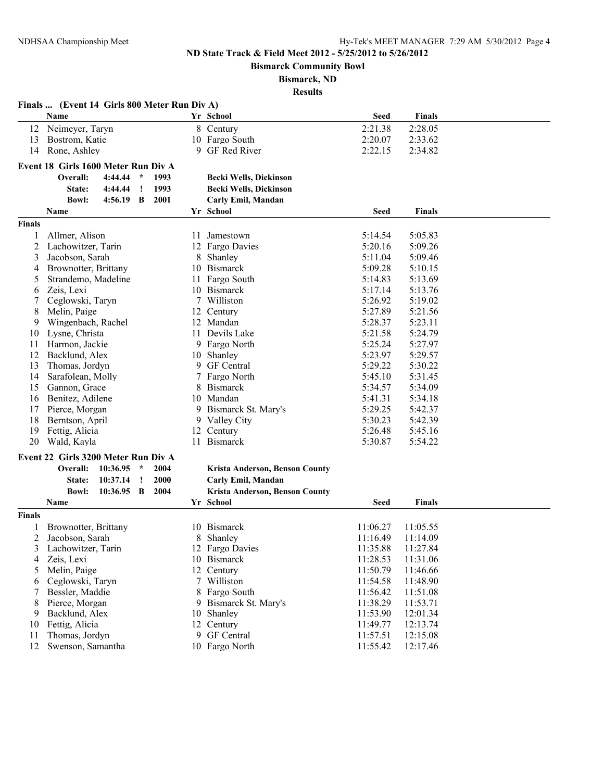**Bismarck Community Bowl**

# **Bismarck, ND**

|               | Finals  (Event 14 Girls 800 Meter Run Div A)      |    |                                |                      |                      |  |
|---------------|---------------------------------------------------|----|--------------------------------|----------------------|----------------------|--|
|               | Name                                              |    | Yr School                      | <b>Seed</b>          | Finals               |  |
| 12            | Neimeyer, Taryn                                   |    | 8 Century                      | 2:21.38              | 2:28.05              |  |
| 13            | Bostrom, Katie                                    |    | 10 Fargo South                 | 2:20.07              | 2:33.62              |  |
| 14            | Rone, Ashley                                      | 9  | GF Red River                   | 2:22.15              | 2:34.82              |  |
|               | Event 18 Girls 1600 Meter Run Div A               |    |                                |                      |                      |  |
|               | 4:44.44<br>1993<br>Overall:<br>$\mathcal{R}$      |    | <b>Becki Wells, Dickinson</b>  |                      |                      |  |
|               | State:<br>4:44.44<br>1993<br>Ţ                    |    | <b>Becki Wells, Dickinson</b>  |                      |                      |  |
|               | 2001<br><b>Bowl:</b><br>$4:56.19$ B               |    | Carly Emil, Mandan             |                      |                      |  |
|               | Name                                              |    | Yr School                      | Seed                 | Finals               |  |
| <b>Finals</b> |                                                   |    |                                |                      |                      |  |
| 1             | Allmer, Alison                                    |    | 11 Jamestown                   | 5:14.54              | 5:05.83              |  |
| 2             | Lachowitzer, Tarin                                |    | 12 Fargo Davies                | 5:20.16              | 5:09.26              |  |
| 3             | Jacobson, Sarah                                   | 8  | Shanley                        | 5:11.04              | 5:09.46              |  |
| 4             | Brownotter, Brittany                              |    | 10 Bismarck                    | 5:09.28              | 5:10.15              |  |
| 5             | Strandemo, Madeline                               | 11 | Fargo South                    | 5:14.83              | 5:13.69              |  |
| 6             | Zeis, Lexi                                        |    | 10 Bismarck                    | 5:17.14              | 5:13.76              |  |
| 7             | Ceglowski, Taryn                                  |    | 7 Williston                    | 5:26.92              | 5:19.02              |  |
| 8             | Melin, Paige                                      |    | 12 Century                     | 5:27.89              | 5:21.56              |  |
| 9             | Wingenbach, Rachel                                | 12 | Mandan                         | 5:28.37              | 5:23.11              |  |
| 10            | Lysne, Christa                                    | 11 | Devils Lake                    | 5:21.58              | 5:24.79              |  |
| 11            | Harmon, Jackie                                    |    | 9 Fargo North                  | 5:25.24              | 5:27.97              |  |
| 12            | Backlund, Alex                                    |    | 10 Shanley                     | 5:23.97              | 5:29.57              |  |
| 13            | Thomas, Jordyn                                    | 9. | <b>GF</b> Central              | 5:29.22              | 5:30.22              |  |
| 14            | Sarafolean, Molly                                 |    | Fargo North                    | 5:45.10              | 5:31.45              |  |
| 15            | Gannon, Grace                                     | 8  | <b>Bismarck</b>                | 5:34.57              | 5:34.09              |  |
| 16            | Benitez, Adilene                                  |    | 10 Mandan                      | 5:41.31              | 5:34.18              |  |
| 17            | Pierce, Morgan                                    |    | 9 Bismarck St. Mary's          | 5:29.25              | 5:42.37              |  |
| 18            | Berntson, April                                   |    | 9 Valley City                  | 5:30.23              | 5:42.39              |  |
| 19            | Fettig, Alicia                                    |    | 12 Century                     | 5:26.48              | 5:45.16              |  |
| 20            | Wald, Kayla                                       |    | 11 Bismarck                    | 5:30.87              | 5:54.22              |  |
|               | Event 22 Girls 3200 Meter Run Div A               |    |                                |                      |                      |  |
|               | Overall:<br>10:36.95<br>2004<br>$\star$           |    | Krista Anderson, Benson County |                      |                      |  |
|               | 10:37.14<br>$\mathbf{I}$<br><b>2000</b><br>State: |    | Carly Emil, Mandan             |                      |                      |  |
|               | 2004<br><b>Bowl:</b><br>10:36.95 B                |    | Krista Anderson, Benson County |                      |                      |  |
|               | Name                                              |    | Yr School                      | Seed                 | Finals               |  |
| Finals        |                                                   |    |                                |                      |                      |  |
| 1             | Brownotter, Brittany                              |    | 10 Bismarck                    | 11:06.27             | 11:05.55             |  |
| 2             | Jacobson, Sarah                                   |    | 8 Shanley                      | 11:16.49             | 11:14.09             |  |
| 3             | Lachowitzer, Tarin                                |    | 12 Fargo Davies                | 11:35.88             | 11:27.84             |  |
| 4             | Zeis, Lexi                                        |    | 10 Bismarck                    | 11:28.53             | 11:31.06             |  |
| 5             | Melin, Paige                                      |    | 12 Century                     | 11:50.79             | 11:46.66             |  |
| 6             | Ceglowski, Taryn                                  |    | 7 Williston                    | 11:54.58             | 11:48.90             |  |
| 7             | Bessler, Maddie                                   | 9. | 8 Fargo South                  | 11:56.42             | 11:51.08             |  |
| 8             | Pierce, Morgan                                    |    | Bismarck St. Mary's            | 11:38.29             | 11:53.71             |  |
| 9             | Backlund, Alex                                    |    | 10 Shanley                     | 11:53.90             | 12:01.34             |  |
| 10            | Fettig, Alicia<br>Thomas, Jordyn                  |    | 12 Century<br>9 GF Central     | 11:49.77<br>11:57.51 | 12:13.74<br>12:15.08 |  |
| 11<br>12      | Swenson, Samantha                                 |    | 10 Fargo North                 | 11:55.42             | 12:17.46             |  |
|               |                                                   |    |                                |                      |                      |  |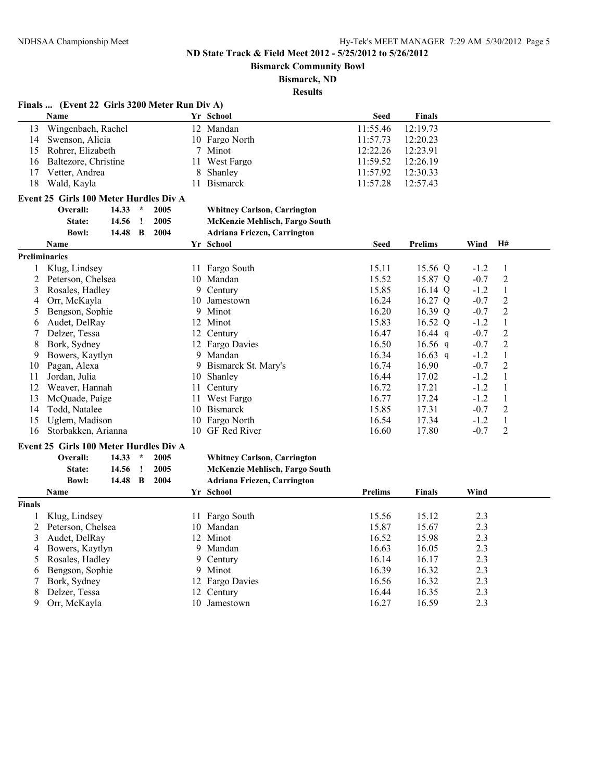**Bismarck Community Bowl**

**Bismarck, ND**

**Results**

#### **Finals ... (Event 22 Girls 3200 Meter Run Div A)**

|    | <b>Name</b>             | Yr School       | <b>Seed</b> | <b>Finals</b> |
|----|-------------------------|-----------------|-------------|---------------|
|    | 13 Wingenbach, Rachel   | 12 Mandan       | 11:55.46    | 12:19.73      |
|    | 14 Swenson, Alicia      | 10 Fargo North  | 11:57.73    | 12:20.23      |
|    | 15 Rohrer, Elizabeth    | 7 Minot         | 12:22.26    | 12:23.91      |
|    | 16 Baltezore, Christine | 11 West Fargo   | 11:59.52    | 12:26.19      |
| 17 | Vetter, Andrea          | 8 Shanley       | 11:57.92    | 12:30.33      |
| 18 | Wald, Kayla             | <b>Bismarck</b> | 11:57.28    | 12:57.43      |

# **Event 25 Girls 100 Meter Hurdles Div A**<br>Overall: 14.33  $*$  2005

### **Overall: 14.33 \* 2005 Whitney Carlson, Carrington State: 14.56 ! 2005 McKenzie Mehlisch, Fargo South**

| Bowl: | 14.48 B 2004 |  | <b>Adriana Friezen, Carrington</b> |
|-------|--------------|--|------------------------------------|
|-------|--------------|--|------------------------------------|

|               | <b>Name</b>                            |       |          |                     |                 |           | Yr School                          | <b>Seed</b>    | <b>Prelims</b> | Wind           | H#             |  |
|---------------|----------------------------------------|-------|----------|---------------------|-----------------|-----------|------------------------------------|----------------|----------------|----------------|----------------|--|
|               | Preliminaries                          |       |          |                     |                 |           |                                    |                |                |                |                |  |
| 1             | Klug, Lindsey                          |       |          |                     |                 |           | 11 Fargo South                     | 15.11          | 15.56 Q        | $-1.2$         | 1              |  |
| 2             | Peterson, Chelsea                      |       |          |                     |                 | 10        | Mandan                             | 15.52          | 15.87 Q        | $-0.7$         | $\overline{c}$ |  |
| 3             | Rosales, Hadley                        |       |          |                     |                 | 9         | Century                            | 15.85          | $16.14$ Q      | $-1.2$         | $\mathbf{1}$   |  |
| 4             | Orr, McKayla                           |       |          |                     |                 | 10        | Jamestown                          | 16.24          | 16.27 Q        | $-0.7$         | $\overline{c}$ |  |
| 5             | Bengson, Sophie                        |       |          |                     |                 | 9         | Minot                              | 16.20          | 16.39 Q        | $-0.7$         | $\overline{c}$ |  |
| 6             | Audet, DelRay                          |       |          |                     |                 | 12        | Minot                              | 15.83          | 16.52 Q        | $-1.2$         | $\mathbf{1}$   |  |
|               | Delzer, Tessa                          |       |          |                     | 12              | Century   | 16.47                              | $16.44$ q      | $-0.7$         | $\overline{2}$ |                |  |
| 8             | Bork, Sydney                           |       |          | 12                  | Fargo Davies    | 16.50     | $16.56$ q                          | $-0.7$         | $\overline{c}$ |                |                |  |
| 9             | Bowers, Kaytlyn                        |       | 9        | Mandan              | 16.34           | $16.63$ q | $-1.2$                             | $\mathbf{1}$   |                |                |                |  |
| 10            | Pagan, Alexa                           |       | 9        | Bismarck St. Mary's | 16.74           | 16.90     | $-0.7$                             | $\overline{2}$ |                |                |                |  |
| 11            | Jordan, Julia                          |       | 10       | Shanley             | 16.44           | 17.02     | $-1.2$                             | 1              |                |                |                |  |
| 12            | Weaver, Hannah                         |       |          |                     | 11              | Century   | 16.72                              | 17.21          | $-1.2$         | $\mathbf{1}$   |                |  |
| 13            | McQuade, Paige                         |       |          | 11                  | West Fargo      | 16.77     | 17.24                              | $-1.2$         | $\mathbf{1}$   |                |                |  |
| 14            | Todd, Natalee                          |       |          | 10                  | <b>Bismarck</b> | 15.85     | 17.31                              | $-0.7$         | $\overline{2}$ |                |                |  |
| 15            | Uglem, Madison                         |       |          | 10                  | Fargo North     | 16.54     | 17.34                              | $-1.2$         | $\mathbf{1}$   |                |                |  |
| 16            | Storbakken, Arianna                    |       | 10       | GF Red River        | 16.60           | 17.80     | $-0.7$                             | 2              |                |                |                |  |
|               | Event 25 Girls 100 Meter Hurdles Div A |       |          |                     |                 |           |                                    |                |                |                |                |  |
|               | Overall:                               | 14.33 | $\star$  |                     | 2005            |           | <b>Whitney Carlson, Carrington</b> |                |                |                |                |  |
|               | State:                                 | 14.56 | Ţ        |                     | 2005            |           | McKenzie Mehlisch, Fargo South     |                |                |                |                |  |
|               | <b>Bowl:</b>                           | 14.48 | $\bf{B}$ |                     | 2004            |           | <b>Adriana Friezen, Carrington</b> |                |                |                |                |  |
|               | Name                                   |       |          |                     |                 |           | Yr School                          | <b>Prelims</b> | <b>Finals</b>  | Wind           |                |  |
| <b>Finals</b> |                                        |       |          |                     |                 |           |                                    |                |                |                |                |  |
|               | Klug, Lindsey                          |       |          |                     |                 |           | 11 Fargo South                     | 15.56          | 15.12          | 2.3            |                |  |
| 2             | Peterson, Chelsea                      |       |          |                     |                 | 10        | Mandan                             | 15.87          | 15.67          | 2.3            |                |  |
| 3             | Audet, DelRay                          |       |          |                     |                 | 12        | Minot                              | 16.52          | 15.98          | 2.3            |                |  |
| 4             | Bowers, Kaytlyn                        |       |          |                     |                 | 9.        | Mandan                             | 16.63          | 16.05          | 2.3            |                |  |
| 5             | Rosales, Hadley                        |       |          |                     |                 | 9.        | Century                            | 16.14          | 16.17          | 2.3            |                |  |
| 6             | Bengson, Sophie                        |       |          |                     |                 | 9         | Minot                              | 16.39          | 16.32          | 2.3            |                |  |
|               | Bork, Sydney                           |       |          |                     |                 | 12        | Fargo Davies                       | 16.56          | 16.32          | 2.3            |                |  |
| 8             | Delzer, Tessa                          |       |          |                     |                 | 12        | Century                            | 16.44          | 16.35          | 2.3            |                |  |
| 9             | Orr, McKayla                           |       |          |                     |                 | 10        | Jamestown                          | 16.27          | 16.59          | 2.3            |                |  |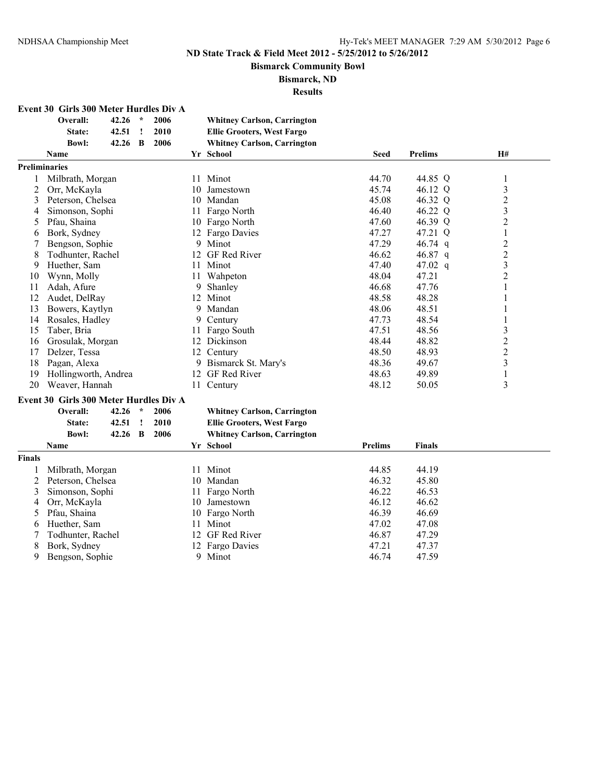**Bismarck Community Bowl**

**Bismarck, ND**

| Event 30 Girls 300 Meter Hurdles Div A |  |  |
|----------------------------------------|--|--|
|----------------------------------------|--|--|

|                                                          | Overall:                                                                                                                                                                                                                                                        | 42.26                   | $\star$ | 2006                 |           | <b>Whitney Carlson, Carrington</b>                                                                                                                                                                                                                             |                                                                                                 |                                                                                                |                         |  |
|----------------------------------------------------------|-----------------------------------------------------------------------------------------------------------------------------------------------------------------------------------------------------------------------------------------------------------------|-------------------------|---------|----------------------|-----------|----------------------------------------------------------------------------------------------------------------------------------------------------------------------------------------------------------------------------------------------------------------|-------------------------------------------------------------------------------------------------|------------------------------------------------------------------------------------------------|-------------------------|--|
|                                                          | State:                                                                                                                                                                                                                                                          | 42.51                   | Ţ       | 2010                 |           | <b>Ellie Grooters, West Fargo</b>                                                                                                                                                                                                                              |                                                                                                 |                                                                                                |                         |  |
|                                                          | <b>Bowl:</b>                                                                                                                                                                                                                                                    | 42.26                   | B       | 2006                 |           | <b>Whitney Carlson, Carrington</b>                                                                                                                                                                                                                             |                                                                                                 |                                                                                                |                         |  |
|                                                          | <b>Name</b>                                                                                                                                                                                                                                                     |                         |         |                      |           | Yr School                                                                                                                                                                                                                                                      | <b>Seed</b>                                                                                     | <b>Prelims</b>                                                                                 | <b>H#</b>               |  |
| <b>Preliminaries</b>                                     |                                                                                                                                                                                                                                                                 |                         |         |                      |           |                                                                                                                                                                                                                                                                |                                                                                                 |                                                                                                |                         |  |
| 1                                                        | Milbrath, Morgan                                                                                                                                                                                                                                                |                         |         |                      |           | 11 Minot                                                                                                                                                                                                                                                       | 44.70                                                                                           | 44.85 Q                                                                                        | 1                       |  |
| 2                                                        | Orr, McKayla                                                                                                                                                                                                                                                    |                         |         |                      |           | 10 Jamestown                                                                                                                                                                                                                                                   | 45.74                                                                                           | 46.12 Q                                                                                        | $\mathfrak{Z}$          |  |
| 3                                                        | Peterson, Chelsea                                                                                                                                                                                                                                               |                         |         |                      |           | 10 Mandan                                                                                                                                                                                                                                                      | 45.08                                                                                           | 46.32 Q                                                                                        | $\overline{c}$          |  |
| 4                                                        | Simonson, Sophi                                                                                                                                                                                                                                                 |                         |         |                      |           | 11 Fargo North                                                                                                                                                                                                                                                 | 46.40                                                                                           | 46.22 Q                                                                                        | 3                       |  |
| 5                                                        | Pfau, Shaina                                                                                                                                                                                                                                                    |                         |         |                      |           | 10 Fargo North                                                                                                                                                                                                                                                 | 47.60                                                                                           | 46.39 Q                                                                                        | $\overline{2}$          |  |
| 6                                                        | Bork, Sydney                                                                                                                                                                                                                                                    |                         |         |                      |           | 12 Fargo Davies                                                                                                                                                                                                                                                | 47.27                                                                                           | 47.21 Q                                                                                        | 1                       |  |
|                                                          | Bengson, Sophie                                                                                                                                                                                                                                                 |                         |         |                      |           | 9 Minot                                                                                                                                                                                                                                                        | 47.29                                                                                           | 46.74 q                                                                                        | $\overline{c}$          |  |
| 8                                                        | Todhunter, Rachel                                                                                                                                                                                                                                               |                         |         |                      | 12        | GF Red River                                                                                                                                                                                                                                                   | 46.62                                                                                           | 46.87 q                                                                                        | $\overline{c}$          |  |
| 9                                                        | Huether, Sam                                                                                                                                                                                                                                                    |                         |         |                      | 11        | Minot                                                                                                                                                                                                                                                          | 47.40                                                                                           | 47.02 $q$                                                                                      | $\overline{\mathbf{3}}$ |  |
| 10                                                       | Wynn, Molly                                                                                                                                                                                                                                                     |                         |         |                      | 11        | Wahpeton                                                                                                                                                                                                                                                       | 48.04                                                                                           | 47.21                                                                                          | $\overline{2}$          |  |
| 11                                                       | Adah, Afure                                                                                                                                                                                                                                                     |                         |         |                      |           | 9 Shanley                                                                                                                                                                                                                                                      | 46.68                                                                                           | 47.76                                                                                          | 1                       |  |
| 12                                                       | Audet, DelRay                                                                                                                                                                                                                                                   |                         |         |                      |           | 12 Minot                                                                                                                                                                                                                                                       | 48.58                                                                                           | 48.28                                                                                          | 1                       |  |
| 13                                                       | Bowers, Kaytlyn                                                                                                                                                                                                                                                 |                         |         |                      |           | 9 Mandan                                                                                                                                                                                                                                                       | 48.06                                                                                           | 48.51                                                                                          | 1                       |  |
| 14                                                       | Rosales, Hadley                                                                                                                                                                                                                                                 |                         |         |                      |           | 9 Century                                                                                                                                                                                                                                                      | 47.73                                                                                           | 48.54                                                                                          | 1                       |  |
| 15                                                       | Taber, Bria                                                                                                                                                                                                                                                     |                         |         |                      |           | 11 Fargo South                                                                                                                                                                                                                                                 | 47.51                                                                                           | 48.56                                                                                          | 3                       |  |
| 16                                                       | Grosulak, Morgan                                                                                                                                                                                                                                                |                         |         |                      |           | 12 Dickinson                                                                                                                                                                                                                                                   | 48.44                                                                                           | 48.82                                                                                          |                         |  |
| 17                                                       | Delzer, Tessa                                                                                                                                                                                                                                                   |                         |         |                      |           | 12 Century                                                                                                                                                                                                                                                     | 48.50                                                                                           | 48.93                                                                                          | $\overline{\mathbf{c}}$ |  |
| 18                                                       | Pagan, Alexa                                                                                                                                                                                                                                                    |                         |         |                      |           | 9 Bismarck St. Mary's                                                                                                                                                                                                                                          | 48.36                                                                                           | 49.67                                                                                          | $\overline{\mathbf{3}}$ |  |
| 19                                                       | Hollingworth, Andrea                                                                                                                                                                                                                                            |                         |         |                      | 12        | GF Red River                                                                                                                                                                                                                                                   | 48.63                                                                                           | 49.89                                                                                          | $\mathbf{1}$            |  |
| 20                                                       | Weaver, Hannah                                                                                                                                                                                                                                                  |                         |         |                      | 11        | Century                                                                                                                                                                                                                                                        | 48.12                                                                                           | 50.05                                                                                          | 3                       |  |
|                                                          |                                                                                                                                                                                                                                                                 |                         |         |                      |           |                                                                                                                                                                                                                                                                |                                                                                                 |                                                                                                |                         |  |
|                                                          |                                                                                                                                                                                                                                                                 |                         | $\star$ |                      |           |                                                                                                                                                                                                                                                                |                                                                                                 |                                                                                                |                         |  |
|                                                          |                                                                                                                                                                                                                                                                 |                         |         |                      |           |                                                                                                                                                                                                                                                                |                                                                                                 |                                                                                                |                         |  |
|                                                          |                                                                                                                                                                                                                                                                 |                         |         |                      |           |                                                                                                                                                                                                                                                                |                                                                                                 |                                                                                                |                         |  |
|                                                          |                                                                                                                                                                                                                                                                 |                         |         |                      |           |                                                                                                                                                                                                                                                                |                                                                                                 |                                                                                                |                         |  |
|                                                          |                                                                                                                                                                                                                                                                 |                         |         |                      |           |                                                                                                                                                                                                                                                                |                                                                                                 |                                                                                                |                         |  |
|                                                          |                                                                                                                                                                                                                                                                 |                         |         |                      |           |                                                                                                                                                                                                                                                                |                                                                                                 |                                                                                                |                         |  |
|                                                          |                                                                                                                                                                                                                                                                 |                         |         |                      |           |                                                                                                                                                                                                                                                                |                                                                                                 |                                                                                                |                         |  |
|                                                          |                                                                                                                                                                                                                                                                 |                         |         |                      |           |                                                                                                                                                                                                                                                                |                                                                                                 |                                                                                                |                         |  |
|                                                          |                                                                                                                                                                                                                                                                 |                         |         |                      |           |                                                                                                                                                                                                                                                                |                                                                                                 |                                                                                                |                         |  |
|                                                          |                                                                                                                                                                                                                                                                 |                         |         |                      |           |                                                                                                                                                                                                                                                                |                                                                                                 |                                                                                                |                         |  |
|                                                          |                                                                                                                                                                                                                                                                 |                         |         |                      |           |                                                                                                                                                                                                                                                                |                                                                                                 |                                                                                                |                         |  |
|                                                          |                                                                                                                                                                                                                                                                 |                         |         |                      |           |                                                                                                                                                                                                                                                                |                                                                                                 |                                                                                                |                         |  |
|                                                          |                                                                                                                                                                                                                                                                 |                         |         |                      |           |                                                                                                                                                                                                                                                                |                                                                                                 |                                                                                                |                         |  |
| 9                                                        |                                                                                                                                                                                                                                                                 |                         |         |                      |           |                                                                                                                                                                                                                                                                |                                                                                                 |                                                                                                |                         |  |
| <b>Finals</b><br>$\overline{c}$<br>3<br>4<br>5<br>6<br>8 | Event 30 Girls 300 Meter Hurdles Div A<br>Overall:<br>State:<br><b>Bowl:</b><br><b>Name</b><br>Milbrath, Morgan<br>Peterson, Chelsea<br>Simonson, Sophi<br>Orr, McKayla<br>Pfau, Shaina<br>Huether, Sam<br>Todhunter, Rachel<br>Bork, Sydney<br>Bengson, Sophie | 42.26<br>42.51<br>42.26 | Ţ<br>B  | 2006<br>2010<br>2006 | 11.<br>12 | <b>Whitney Carlson, Carrington</b><br><b>Ellie Grooters, West Fargo</b><br><b>Whitney Carlson, Carrington</b><br>Yr School<br>11 Minot<br>10 Mandan<br>11 Fargo North<br>10 Jamestown<br>10 Fargo North<br>Minot<br>GF Red River<br>12 Fargo Davies<br>9 Minot | <b>Prelims</b><br>44.85<br>46.32<br>46.22<br>46.12<br>46.39<br>47.02<br>46.87<br>47.21<br>46.74 | <b>Finals</b><br>44.19<br>45.80<br>46.53<br>46.62<br>46.69<br>47.08<br>47.29<br>47.37<br>47.59 | $\overline{\mathbf{c}}$ |  |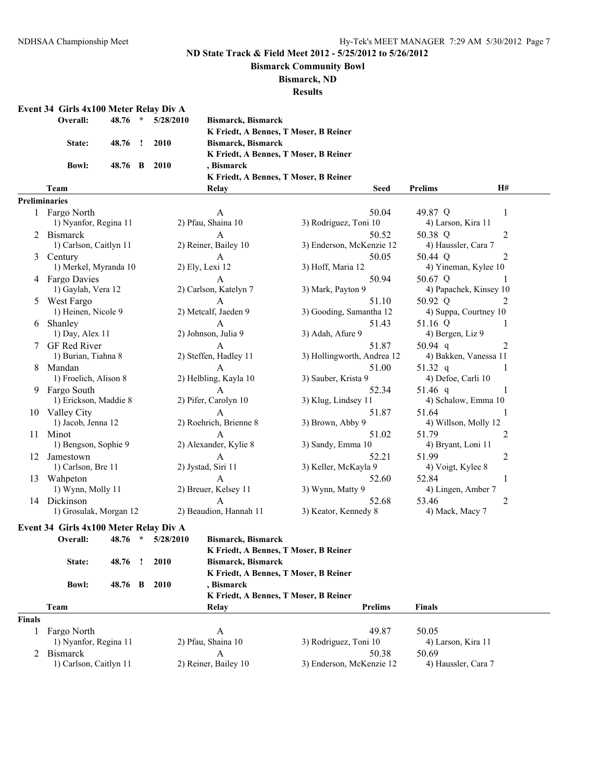#### **Bismarck Community Bowl**

**Bismarck, ND**

**Results**

#### **Event 34 Girls 4x100 Meter Relay Div A**

| Overall:      | $48.76$ *    | 5/28/2010 |
|---------------|--------------|-----------|
| <b>State:</b> | 48.76 ! 2010 |           |
| <b>Bowl:</b>  | 48.76 B 2010 |           |

**Overall: 48.76 \* 5/28/2010 Bismarck, Bismarck K Friedt, A Bennes, T Moser, B Reiner State: 48.76 ! 2010 Bismarck, Bismarck K Friedt, A Bennes, T Moser, B Reiner Bowl: 48.76 B 2010 , Bismarck K Friedt, A Bennes, T Moser, B Reiner Team Relay Seed Prelims H#**

#### P<sub>r</sub>

|    | eliminaries            |                        |                            |                             |
|----|------------------------|------------------------|----------------------------|-----------------------------|
|    | 1 Fargo North          | A                      | 50.04                      | 49.87 Q                     |
|    | 1) Nyanfor, Regina 11  | 2) Pfau, Shaina 10     | 3) Rodriguez, Toni 10      | 4) Larson, Kira 11          |
|    | 2 Bismarck             | $\mathsf{A}$           | 50.52                      | 50.38 Q<br>$\mathfrak{D}$   |
|    | 1) Carlson, Caitlyn 11 | 2) Reiner, Bailey 10   | 3) Enderson, McKenzie 12   | 4) Haussler, Cara 7         |
|    | 3 Century              | $\mathbf{A}$           | 50.05                      | 50.44 Q<br>$\overline{2}$   |
|    | 1) Merkel, Myranda 10  | 2) Ely, Lexi 12        | 3) Hoff, Maria 12          | 4) Yineman, Kylee 10        |
|    | 4 Fargo Davies         | $\mathsf{A}$           | 50.94                      | 50.67 Q                     |
|    | 1) Gaylah, Vera 12     | 2) Carlson, Katelyn 7  | 3) Mark, Payton 9          | 4) Papachek, Kinsey 10      |
| 5  | West Fargo             | A                      | 51.10                      | 50.92 Q<br>2                |
|    | 1) Heinen, Nicole 9    | 2) Metcalf, Jaeden 9   | 3) Gooding, Samantha 12    | 4) Suppa, Courtney 10       |
|    | Shanley                | $\mathsf{A}$           | 51.43                      | 51.16 Q                     |
|    | $1)$ Day, Alex $11$    | 2) Johnson, Julia 9    | 3) Adah, Afure 9           | 4) Bergen, Liz 9            |
|    | <b>GF</b> Red River    | $\mathsf{A}$           | 51.87                      | $\overline{2}$<br>50.94 $q$ |
|    | 1) Burian, Tiahna 8    | 2) Steffen, Hadley 11  | 3) Hollingworth, Andrea 12 | 4) Bakken, Vanessa 11       |
|    | 8 Mandan               | $\mathsf{A}$           | 51.00                      | 51.32 q                     |
|    | 1) Froelich, Alison 8  | 2) Helbling, Kayla 10  | 3) Sauber, Krista 9        | 4) Defoe, Carli 10          |
| 9  | Fargo South            | $\mathsf{A}$           | 52.34                      | 51.46 $q$                   |
|    | 1) Erickson, Maddie 8  | 2) Pifer, Carolyn 10   | 3) Klug, Lindsey 11        | 4) Schalow, Emma 10         |
|    | 10 Valley City         | $\mathbf{A}$           | 51.87                      | 51.64<br>-1                 |
|    | 1) Jacob, Jenna 12     | 2) Roehrich, Brienne 8 | 3) Brown, Abby 9           | 4) Willson, Molly 12        |
| 11 | Minot                  | $\mathbf{A}$           | 51.02                      | 51.79<br>2                  |
|    | 1) Bengson, Sophie 9   | 2) Alexander, Kylie 8  | 3) Sandy, Emma 10          | 4) Bryant, Loni 11          |
| 12 | Jamestown              | A                      | 52.21                      | 51.99<br>2                  |
|    | 1) Carlson, Bre 11     | 2) Jystad, Siri 11     | 3) Keller, McKayla 9       | 4) Voigt, Kylee 8           |
| 13 | Wahneton               | $\mathsf{A}$           | 52.60                      | 52.84                       |
|    | 1) Wynn, Molly 11      | 2) Breuer, Kelsey 11   | 3) Wynn, Matty 9           | 4) Lingen, Amber 7          |
| 14 | Dickinson              | A                      | 52.68                      | 53.46<br>2                  |
|    | 1) Grosulak, Morgan 12 | 2) Beaudion, Hannah 11 | 3) Keator, Kennedy 8       | 4) Mack, Macy 7             |
|    |                        |                        |                            |                             |

# **Event 34 Girls 4x100 Meter Relay Div A**

|               | Overall:               | 48.76 | $\ast$ | 5/28/2010 | Bismarck, Bismarck                    |                                       |                     |  |  |
|---------------|------------------------|-------|--------|-----------|---------------------------------------|---------------------------------------|---------------------|--|--|
|               |                        |       |        |           |                                       | K Friedt, A Bennes, T Moser, B Reiner |                     |  |  |
|               | State:                 | 48.76 |        | 2010      | <b>Bismarck, Bismarck</b>             |                                       |                     |  |  |
|               |                        |       |        |           |                                       | K Friedt, A Bennes, T Moser, B Reiner |                     |  |  |
|               | <b>Bowl:</b>           | 48.76 | R      | 2010      | . Bismarck                            |                                       |                     |  |  |
|               |                        |       |        |           | K Friedt, A Bennes, T Moser, B Reiner |                                       |                     |  |  |
|               | Team                   |       |        |           | Relay                                 | <b>Prelims</b>                        | <b>Finals</b>       |  |  |
| <b>Finals</b> |                        |       |        |           |                                       |                                       |                     |  |  |
|               | Fargo North            |       |        |           | А                                     | 49.87                                 | 50.05               |  |  |
|               | 1) Nyanfor, Regina 11  |       |        |           | 2) Pfau, Shaina 10                    | 3) Rodriguez, Toni 10                 | 4) Larson, Kira 11  |  |  |
|               | 2 Bismarck             |       |        |           | A                                     | 50.38                                 | 50.69               |  |  |
|               | 1) Carlson, Caitlyn 11 |       |        |           | 2) Reiner, Bailey 10                  | 3) Enderson, McKenzie 12              | 4) Haussler, Cara 7 |  |  |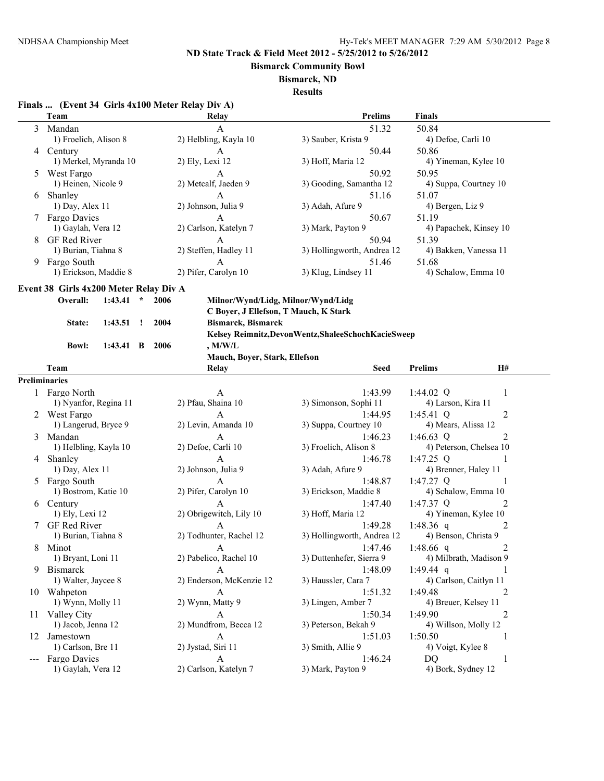**Bismarck Community Bowl**

#### **Bismarck, ND**

**Results**

# **Finals ... (Event 34 Girls 4x100 Meter Relay Div A)**

|       | Team                                   |                                          |              |        | Relay                         | <b>Prelims</b>                                                              | <b>Finals</b>           |                |  |
|-------|----------------------------------------|------------------------------------------|--------------|--------|-------------------------------|-----------------------------------------------------------------------------|-------------------------|----------------|--|
| 3     | Mandan                                 |                                          |              |        | $\mathbf{A}$                  | 51.32                                                                       | 50.84                   |                |  |
|       | 1) Froelich, Alison 8                  |                                          |              |        | 2) Helbling, Kayla 10         | 3) Sauber, Krista 9                                                         | 4) Defoe, Carli 10      |                |  |
| 4     | Century                                |                                          |              |        | A                             | 50.44                                                                       | 50.86                   |                |  |
|       |                                        | 1) Merkel, Myranda 10<br>2) Ely, Lexi 12 |              |        |                               | 3) Hoff, Maria 12                                                           | 4) Yineman, Kylee 10    |                |  |
|       | West Fargo                             |                                          |              |        | A                             | 50.92                                                                       | 50.95                   |                |  |
|       | 1) Heinen, Nicole 9                    |                                          |              |        | 2) Metcalf, Jaeden 9          | 3) Gooding, Samantha 12                                                     | 4) Suppa, Courtney 10   |                |  |
| 6     | Shanley                                |                                          |              |        | $\mathbf{A}$                  | 51.16                                                                       | 51.07                   |                |  |
|       | 1) Day, Alex 11                        |                                          |              |        | 2) Johnson, Julia 9           | 3) Adah, Afure 9                                                            | 4) Bergen, Liz 9        |                |  |
|       | <b>Fargo Davies</b>                    |                                          |              |        | $\mathbf{A}$                  | 50.67                                                                       | 51.19                   |                |  |
|       | 1) Gaylah, Vera 12                     |                                          |              |        | 2) Carlson, Katelyn 7         | 3) Mark, Payton 9                                                           | 4) Papachek, Kinsey 10  |                |  |
| 8     | GF Red River                           |                                          |              |        | $\mathbf{A}$                  | 50.94                                                                       | 51.39                   |                |  |
|       | 1) Burian, Tiahna 8                    |                                          |              |        | 2) Steffen, Hadley 11         | 3) Hollingworth, Andrea 12                                                  | 4) Bakken, Vanessa 11   |                |  |
| 9     | Fargo South                            |                                          |              |        | A                             | 51.46                                                                       | 51.68                   |                |  |
|       | 1) Erickson, Maddie 8                  |                                          |              |        | 2) Pifer, Carolyn 10          | 3) Klug, Lindsey 11                                                         | 4) Schalow, Emma 10     |                |  |
|       | Event 38 Girls 4x200 Meter Relay Div A |                                          |              |        |                               |                                                                             |                         |                |  |
|       | Overall:                               |                                          | $\star$      | 2006   |                               |                                                                             |                         |                |  |
|       |                                        | 1:43.41                                  |              |        |                               | Milnor/Wynd/Lidg, Milnor/Wynd/Lidg<br>C Boyer, J Ellefson, T Mauch, K Stark |                         |                |  |
|       |                                        |                                          |              |        |                               |                                                                             |                         |                |  |
|       | State:                                 | 1:43.51                                  | $\mathbf{I}$ | 2004   | <b>Bismarck, Bismarck</b>     |                                                                             |                         |                |  |
|       |                                        |                                          |              |        |                               | Kelsey Reimnitz, Devon Wentz, Shalee Schoch Kacie Sweep                     |                         |                |  |
|       | <b>Bowl:</b>                           | $1:43.41 \quad B$                        |              | - 2006 | $,$ M/W/L                     |                                                                             |                         |                |  |
|       |                                        |                                          |              |        | Mauch, Boyer, Stark, Ellefson |                                                                             |                         |                |  |
|       | Team                                   |                                          |              |        | Relay                         | <b>Seed</b>                                                                 | <b>Prelims</b>          | H#             |  |
|       | <b>Preliminaries</b>                   |                                          |              |        |                               |                                                                             |                         |                |  |
|       | 1 Fargo North                          |                                          |              |        | A                             | 1:43.99                                                                     | 1:44.02 $Q$             | 1              |  |
|       | 1) Nyanfor, Regina 11                  |                                          |              |        | 2) Pfau, Shaina 10            | 3) Simonson, Sophi 11                                                       | 4) Larson, Kira 11      |                |  |
| 2     | West Fargo                             |                                          |              |        | $\mathsf{A}$                  | 1:44.95                                                                     | $1:45.41$ Q             | 2              |  |
|       | 1) Langerud, Bryce 9                   |                                          |              |        | 2) Levin, Amanda 10           | 3) Suppa, Courtney 10                                                       | 4) Mears, Alissa 12     |                |  |
| 3     | Mandan                                 |                                          |              |        | A                             | 1:46.23                                                                     | 1:46.63 $Q$             | 2              |  |
|       | 1) Helbling, Kayla 10                  |                                          |              |        | 2) Defoe, Carli 10            | 3) Froelich, Alison 8                                                       | 4) Peterson, Chelsea 10 |                |  |
|       | 4 Shanley                              |                                          |              |        | A                             | 1:46.78                                                                     | $1:47.25$ Q             | 1              |  |
|       | 1) Day, Alex 11                        |                                          |              |        | 2) Johnson, Julia 9           | 3) Adah, Afure 9                                                            | 4) Brenner, Haley 11    |                |  |
|       | Fargo South                            |                                          |              |        | A                             | 1:48.87                                                                     | 1:47.27 Q               | 1              |  |
|       | 1) Bostrom, Katie 10                   |                                          |              |        | 2) Pifer, Carolyn 10          | 3) Erickson, Maddie 8                                                       | 4) Schalow, Emma 10     |                |  |
| 6     | Century                                |                                          |              |        | $\mathbf{A}$                  | 1:47.40                                                                     | 1:47.37 Q               | 2              |  |
|       | 1) Ely, Lexi 12                        |                                          |              |        | 2) Obrigewitch, Lily 10       | 3) Hoff, Maria 12                                                           | 4) Yineman, Kylee 10    |                |  |
|       | GF Red River                           |                                          |              |        | $\mathbf{A}$                  | 1:49.28                                                                     | 1:48.36 q               | 2              |  |
|       | 1) Burian, Tiahna 8                    |                                          |              |        | 2) Todhunter, Rachel 12       | 3) Hollingworth, Andrea 12                                                  | 4) Benson, Christa 9    |                |  |
| 8     | Minot                                  |                                          |              |        | A                             | 1:47.46                                                                     | 1:48.66 q               | 2              |  |
|       | 1) Bryant, Loni 11                     |                                          |              |        | 2) Pabelico, Rachel 10        | 3) Duttenhefer, Sierra 9                                                    | 4) Milbrath, Madison 9  |                |  |
| 9     | Bismarck                               |                                          |              |        | A                             | 1:48.09                                                                     | 1:49.44 q               | 1              |  |
|       | 1) Walter, Jaycee 8                    |                                          |              |        | 2) Enderson, McKenzie 12      | 3) Haussler, Cara 7                                                         | 4) Carlson, Caitlyn 11  |                |  |
|       | 10 Wahpeton                            |                                          |              |        | $\mathbf{A}$                  | 1:51.32                                                                     | 1:49.48                 | 2              |  |
|       | 1) Wynn, Molly 11                      |                                          |              |        | 2) Wynn, Matty 9              | 3) Lingen, Amber 7                                                          | 4) Breuer, Kelsey 11    |                |  |
|       | 11 Valley City                         |                                          |              |        | A                             | 1:50.34                                                                     | 1:49.90                 | $\overline{c}$ |  |
|       | 1) Jacob, Jenna 12                     |                                          |              |        | 2) Mundfrom, Becca 12         | 3) Peterson, Bekah 9                                                        | 4) Willson, Molly 12    |                |  |
|       | 12 Jamestown                           |                                          |              |        | A                             | 1:51.03                                                                     | 1:50.50                 | 1              |  |
|       | 1) Carlson, Bre 11                     |                                          |              |        | 2) Jystad, Siri 11            | 3) Smith, Allie 9                                                           | 4) Voigt, Kylee 8       |                |  |
| $---$ | Fargo Davies                           |                                          |              |        | A                             | 1:46.24                                                                     | DQ                      | 1              |  |
|       | 1) Gaylah, Vera 12                     |                                          |              |        | 2) Carlson, Katelyn 7         | 3) Mark, Payton 9                                                           | 4) Bork, Sydney 12      |                |  |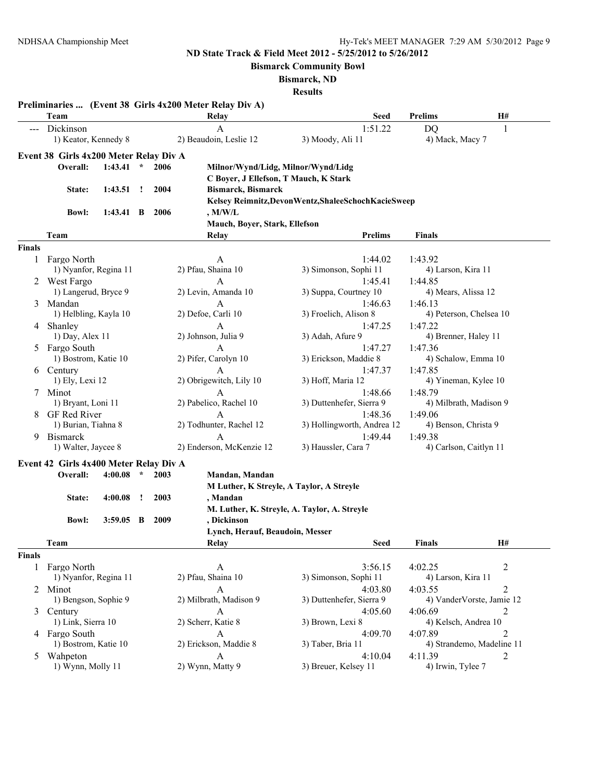**Bismarck Community Bowl**

**Bismarck, ND**

|               | Team                                   |             |         |      | Preliminaries  (Event 38 Girls 4x200 Meter Relay Div A)<br>Relay | <b>Seed</b>                                             | <b>Prelims</b>         | <b>H#</b>                 |
|---------------|----------------------------------------|-------------|---------|------|------------------------------------------------------------------|---------------------------------------------------------|------------------------|---------------------------|
|               | Dickinson                              |             |         |      | $\mathbf{A}$                                                     | 1:51.22                                                 | DQ                     | 1                         |
|               | 1) Keator, Kennedy 8                   |             |         |      | 2) Beaudoin, Leslie 12                                           | 3) Moody, Ali 11                                        | 4) Mack, Macy 7        |                           |
|               | Event 38 Girls 4x200 Meter Relay Div A |             |         |      |                                                                  |                                                         |                        |                           |
|               | Overall:                               | 1:43.41     | $\star$ | 2006 | Milnor/Wynd/Lidg, Milnor/Wynd/Lidg                               |                                                         |                        |                           |
|               |                                        |             |         |      | C Boyer, J Ellefson, T Mauch, K Stark                            |                                                         |                        |                           |
|               | State:                                 | 1:43.51     | $\cdot$ | 2004 | <b>Bismarck, Bismarck</b>                                        |                                                         |                        |                           |
|               |                                        |             |         |      |                                                                  | Kelsey Reimnitz, Devon Wentz, Shalee Schoch Kacie Sweep |                        |                           |
|               | <b>Bowl:</b>                           | $1:43.41$ B |         | 2006 | , M/W/L                                                          |                                                         |                        |                           |
|               |                                        |             |         |      | Mauch, Boyer, Stark, Ellefson                                    |                                                         |                        |                           |
|               | Team                                   |             |         |      | Relay                                                            | <b>Prelims</b>                                          | <b>Finals</b>          |                           |
| <b>Finals</b> |                                        |             |         |      |                                                                  |                                                         |                        |                           |
|               | 1 Fargo North                          |             |         |      | $\mathbf{A}$                                                     | 1:44.02                                                 | 1:43.92                |                           |
|               | 1) Nyanfor, Regina 11                  |             |         |      | 2) Pfau, Shaina 10                                               | 3) Simonson, Sophi 11                                   | 4) Larson, Kira 11     |                           |
|               | 2 West Fargo                           |             |         |      | A                                                                | 1:45.41                                                 | 1:44.85                |                           |
|               | 1) Langerud, Bryce 9                   |             |         |      | 2) Levin, Amanda 10                                              | 3) Suppa, Courtney 10                                   | 4) Mears, Alissa 12    |                           |
|               | 3 Mandan                               |             |         |      | A                                                                | 1:46.63                                                 | 1:46.13                |                           |
|               | 1) Helbling, Kayla 10                  |             |         |      | 2) Defoe, Carli 10                                               | 3) Froelich, Alison 8                                   |                        | 4) Peterson, Chelsea 10   |
|               | 4 Shanley                              |             |         |      | A                                                                | 1:47.25                                                 | 1:47.22                |                           |
|               | 1) Day, Alex 11                        |             |         |      | 2) Johnson, Julia 9                                              | 3) Adah, Afure 9                                        | 4) Brenner, Haley 11   |                           |
|               | 5 Fargo South                          |             |         |      | A                                                                | 1:47.27                                                 | 1:47.36                |                           |
|               | 1) Bostrom, Katie 10                   |             |         |      | 2) Pifer, Carolyn 10                                             | 3) Erickson, Maddie 8                                   | 4) Schalow, Emma 10    |                           |
|               | 6 Century                              |             |         |      | A                                                                | 1:47.37                                                 | 1:47.85                |                           |
|               | 1) Ely, Lexi 12                        |             |         |      | 2) Obrigewitch, Lily 10                                          | 3) Hoff, Maria 12                                       | 4) Yineman, Kylee 10   |                           |
|               | 7 Minot                                |             |         |      | A                                                                | 1:48.66                                                 | 1:48.79                |                           |
|               | 1) Bryant, Loni 11                     |             |         |      | 2) Pabelico, Rachel 10                                           | 3) Duttenhefer, Sierra 9                                |                        | 4) Milbrath, Madison 9    |
|               | 8 GF Red River                         |             |         |      | A                                                                | 1:48.36                                                 | 1:49.06                |                           |
|               | 1) Burian, Tiahna 8                    |             |         |      | 2) Todhunter, Rachel 12                                          | 3) Hollingworth, Andrea 12                              | 4) Benson, Christa 9   |                           |
| 9             | <b>Bismarck</b>                        |             |         |      | A                                                                | 1:49.44                                                 | 1:49.38                |                           |
|               | 1) Walter, Jaycee 8                    |             |         |      | 2) Enderson, McKenzie 12                                         | 3) Haussler, Cara 7                                     | 4) Carlson, Caitlyn 11 |                           |
|               | Event 42 Girls 4x400 Meter Relay Div A |             |         |      |                                                                  |                                                         |                        |                           |
|               | Overall:                               | 4:00.08     | $\star$ | 2003 | Mandan, Mandan                                                   |                                                         |                        |                           |
|               |                                        |             |         |      | M Luther, K Streyle, A Taylor, A Streyle                         |                                                         |                        |                           |
|               | State:                                 | 4:00.08     | $\cdot$ | 2003 | , Mandan                                                         |                                                         |                        |                           |
|               |                                        |             |         |      |                                                                  | M. Luther, K. Streyle, A. Taylor, A. Streyle            |                        |                           |
|               | <b>Bowl:</b>                           | $3:59.05$ B |         | 2009 | , Dickinson                                                      |                                                         |                        |                           |
|               |                                        |             |         |      | Lynch, Herauf, Beaudoin, Messer                                  |                                                         |                        |                           |
|               | Team                                   |             |         |      | Relay                                                            | <b>Seed</b>                                             | <b>Finals</b>          | H#                        |
| <b>Finals</b> |                                        |             |         |      |                                                                  |                                                         |                        |                           |
|               | 1 Fargo North                          |             |         |      | A                                                                | 3:56.15                                                 | 4:02.25                | $\overline{c}$            |
|               | 1) Nyanfor, Regina 11                  |             |         |      | 2) Pfau, Shaina 10                                               | 3) Simonson, Sophi 11                                   | 4) Larson, Kira 11     |                           |
|               | 2 Minot                                |             |         |      | $\mathbf{A}$                                                     | 4:03.80                                                 | 4:03.55                | $\overline{2}$            |
|               | 1) Bengson, Sophie 9                   |             |         |      | 2) Milbrath, Madison 9                                           | 3) Duttenhefer, Sierra 9                                |                        | 4) VanderVorste, Jamie 12 |
|               | 3 Century                              |             |         |      | A                                                                | 4:05.60                                                 | 4:06.69                | 2                         |
|               | 1) Link, Sierra 10                     |             |         |      | 2) Scherr, Katie 8                                               | 3) Brown, Lexi 8                                        | 4) Kelsch, Andrea 10   |                           |
|               | 4 Fargo South                          |             |         |      | $\mathsf{A}$                                                     | 4:09.70                                                 | 4:07.89                | 2                         |
|               | 1) Bostrom, Katie 10                   |             |         |      | 2) Erickson, Maddie 8                                            | 3) Taber, Bria 11                                       |                        | 4) Strandemo, Madeline 11 |
| 5             | Wahpeton                               |             |         |      | A                                                                | 4:10.04                                                 | 4:11.39                | 2                         |
|               | 1) Wynn, Molly 11                      |             |         |      | 2) Wynn, Matty 9                                                 | 3) Breuer, Kelsey 11                                    | 4) Irwin, Tylee 7      |                           |
|               |                                        |             |         |      |                                                                  |                                                         |                        |                           |
|               |                                        |             |         |      |                                                                  |                                                         |                        |                           |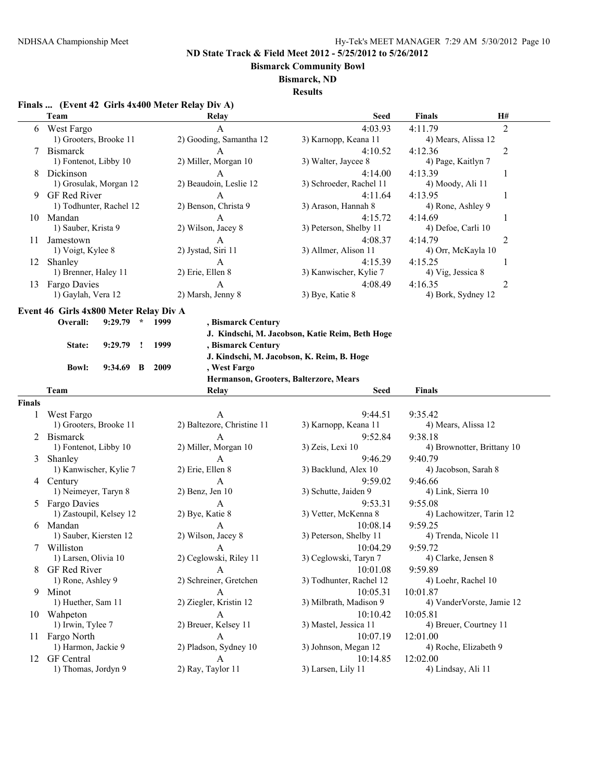**Bismarck Community Bowl**

#### **Bismarck, ND**

**Results**

# **Finals ... (Event 42 Girls 4x400 Meter Relay Div A)**

|        | Team                                   | Relay                                      | <b>Seed</b>                                     | <b>Finals</b>              | H#             |
|--------|----------------------------------------|--------------------------------------------|-------------------------------------------------|----------------------------|----------------|
| 6      | West Fargo                             | A                                          | 4:03.93                                         | 4:11.79                    | $\overline{2}$ |
|        | 1) Grooters, Brooke 11                 | 2) Gooding, Samantha 12                    | 3) Karnopp, Keana 11                            | 4) Mears, Alissa 12        |                |
| 7      | <b>Bismarck</b>                        | A                                          | 4:10.52                                         | 4:12.36                    | 2              |
|        | 1) Fontenot, Libby 10                  | 2) Miller, Morgan 10                       | 3) Walter, Jaycee 8                             | 4) Page, Kaitlyn 7         |                |
| 8      | Dickinson                              | A                                          | 4:14.00                                         | 4:13.39                    | 1              |
|        | 1) Grosulak, Morgan 12                 | 2) Beaudoin, Leslie 12                     | 3) Schroeder, Rachel 11                         | 4) Moody, Ali 11           |                |
| 9.     | GF Red River                           | A                                          | 4:11.64                                         | 4:13.95                    | 1              |
|        | 1) Todhunter, Rachel 12                | 2) Benson, Christa 9                       | 3) Arason, Hannah 8                             | 4) Rone, Ashley 9          |                |
|        | 10 Mandan                              | A                                          | 4:15.72                                         | 4:14.69                    | 1              |
|        | 1) Sauber, Krista 9                    | 2) Wilson, Jacey 8                         | 3) Peterson, Shelby 11                          | 4) Defoe, Carli 10         |                |
|        | Jamestown                              |                                            |                                                 | 4:14.79                    |                |
| 11     |                                        | A<br>2) Jystad, Siri 11                    | 4:08.37<br>3) Allmer, Alison 11                 |                            | 2              |
|        | 1) Voigt, Kylee 8                      |                                            |                                                 | 4) Orr, McKayla 10         |                |
|        | 12 Shanley                             | A                                          | 4:15.39                                         | 4:15.25                    | 1              |
|        | 1) Brenner, Haley 11                   | 2) Erie, Ellen 8                           | 3) Kanwischer, Kylie 7                          | 4) Vig, Jessica 8          |                |
| 13     | Fargo Davies                           | A                                          | 4:08.49                                         | 4:16.35                    | 2              |
|        | 1) Gaylah, Vera 12                     | 2) Marsh, Jenny 8                          | 3) Bye, Katie 8                                 | 4) Bork, Sydney 12         |                |
|        | Event 46 Girls 4x800 Meter Relay Div A |                                            |                                                 |                            |                |
|        | Overall:<br>$9:29.79$ *                | 1999<br>, Bismarck Century                 |                                                 |                            |                |
|        |                                        |                                            | J. Kindschi, M. Jacobson, Katie Reim, Beth Hoge |                            |                |
|        | 9:29.79<br>State:<br><u>!</u>          | 1999<br>, Bismarck Century                 |                                                 |                            |                |
|        |                                        | J. Kindschi, M. Jacobson, K. Reim, B. Hoge |                                                 |                            |                |
|        | <b>Bowl:</b><br>$9:34.69$ B            | 2009<br>, West Fargo                       |                                                 |                            |                |
|        |                                        | Hermanson, Grooters, Balterzore, Mears     |                                                 |                            |                |
|        |                                        |                                            |                                                 |                            |                |
|        | Team                                   | Relay                                      | Seed                                            | <b>Finals</b>              |                |
| Finals |                                        |                                            |                                                 |                            |                |
| 1      | West Fargo                             | A                                          | 9:44.51                                         | 9:35.42                    |                |
|        | 1) Grooters, Brooke 11                 | 2) Baltezore, Christine 11                 | 3) Karnopp, Keana 11                            | 4) Mears, Alissa 12        |                |
| 2      | <b>Bismarck</b>                        | A                                          | 9:52.84                                         | 9:38.18                    |                |
|        | 1) Fontenot, Libby 10                  | 2) Miller, Morgan 10                       | 3) Zeis, Lexi 10                                | 4) Brownotter, Brittany 10 |                |
| 3      | Shanley                                | A                                          | 9:46.29                                         | 9:40.79                    |                |
|        | 1) Kanwischer, Kylie 7                 | 2) Erie, Ellen 8                           | 3) Backlund, Alex 10                            | 4) Jacobson, Sarah 8       |                |
|        | 4 Century                              | A                                          | 9:59.02                                         | 9:46.66                    |                |
|        | 1) Neimeyer, Taryn 8                   | $2)$ Benz, Jen 10                          | 3) Schutte, Jaiden 9                            | 4) Link, Sierra 10         |                |
|        | 5 Fargo Davies                         | A                                          | 9:53.31                                         | 9:55.08                    |                |
|        | 1) Zastoupil, Kelsey 12                | 2) Bye, Katie 8                            | 3) Vetter, McKenna 8                            | 4) Lachowitzer, Tarin 12   |                |
|        | 6 Mandan                               | A                                          | 10:08.14                                        | 9:59.25                    |                |
|        | 1) Sauber, Kiersten 12                 | 2) Wilson, Jacey 8                         | 3) Peterson, Shelby 11                          | 4) Trenda, Nicole 11       |                |
|        | 7 Williston                            | A                                          | 10:04.29                                        | 9:59.72                    |                |
|        | 1) Larsen, Olivia 10                   | 2) Ceglowski, Riley 11                     | 3) Ceglowski, Taryn 7                           | 4) Clarke, Jensen 8        |                |
| 8      | GF Red River                           | A                                          | 10:01.08                                        | 9:59.89                    |                |
|        | 1) Rone, Ashley 9                      | 2) Schreiner, Gretchen                     | 3) Todhunter, Rachel 12                         | 4) Loehr, Rachel 10        |                |
|        | 9 Minot                                | A                                          | 10:05.31                                        | 10:01.87                   |                |
|        | 1) Huether, Sam 11                     | 2) Ziegler, Kristin 12                     | 3) Milbrath, Madison 9                          | 4) VanderVorste, Jamie 12  |                |
|        | 10 Wahpeton                            | A                                          | 10:10.42                                        | 10:05.81                   |                |
|        | 1) Irwin, Tylee 7                      | 2) Breuer, Kelsey 11                       | 3) Mastel, Jessica 11                           | 4) Breuer, Courtney 11     |                |
| 11.    | Fargo North                            | A                                          | 10:07.19                                        | 12:01.00                   |                |
|        | 1) Harmon, Jackie 9                    | 2) Pladson, Sydney 10                      | 3) Johnson, Megan 12                            | 4) Roche, Elizabeth 9      |                |
|        | GF Central                             | A                                          | 10:14.85                                        | 12:02.00                   |                |
| 12     | 1) Thomas, Jordyn 9                    | 2) Ray, Taylor 11                          | 3) Larsen, Lily 11                              | 4) Lindsay, Ali 11         |                |
|        |                                        |                                            |                                                 |                            |                |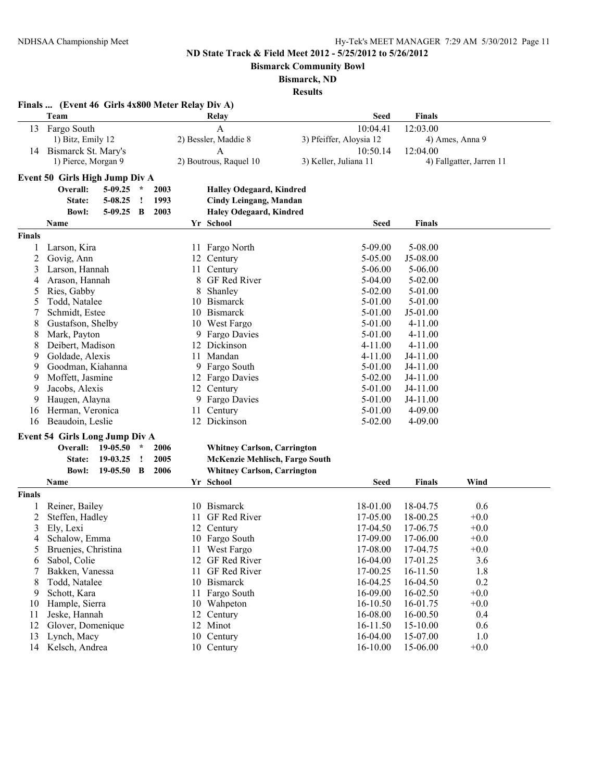**Bismarck Community Bowl**

# **Bismarck, ND**

|               | Finals  (Event 46 Girls 4x800 Meter Relay Div A) |           |              |      |             |                                    |                         |               |                          |
|---------------|--------------------------------------------------|-----------|--------------|------|-------------|------------------------------------|-------------------------|---------------|--------------------------|
|               | Team                                             |           |              |      |             | Relav                              | <b>Seed</b>             | <b>Finals</b> |                          |
| 13            | Fargo South                                      |           |              |      |             | $\mathbf{A}$                       | 10:04.41                | 12:03.00      |                          |
|               | 1) Bitz, Emily 12                                |           |              |      |             | 2) Bessler, Maddie 8               | 3) Pfeiffer, Aloysia 12 |               | 4) Ames, Anna 9          |
| 14            | Bismarck St. Mary's                              |           |              |      |             | A                                  | 10:50.14                | 12:04.00      |                          |
|               | 1) Pierce, Morgan 9                              |           |              |      |             | 2) Boutrous, Raquel 10             | 3) Keller, Juliana 11   |               | 4) Fallgatter, Jarren 11 |
|               | Event 50 Girls High Jump Div A                   |           |              |      |             |                                    |                         |               |                          |
|               | Overall:                                         | $5-09.25$ | $\star$      | 2003 |             | <b>Halley Odegaard, Kindred</b>    |                         |               |                          |
|               | State:                                           | 5-08.25   | $\mathbf{I}$ | 1993 |             | <b>Cindy Leingang, Mandan</b>      |                         |               |                          |
|               | <b>Bowl:</b>                                     | $5-09.25$ | $\mathbf B$  | 2003 |             | Haley Odegaard, Kindred            |                         |               |                          |
|               | Name                                             |           |              |      |             | Yr School                          | <b>Seed</b>             | <b>Finals</b> |                          |
| <b>Finals</b> |                                                  |           |              |      |             |                                    |                         |               |                          |
| 1             | Larson, Kira                                     |           |              |      |             | 11 Fargo North                     | 5-09.00                 | 5-08.00       |                          |
| 2             | Govig, Ann                                       |           |              |      |             | 12 Century                         | 5-05.00                 | J5-08.00      |                          |
| 3             | Larson, Hannah                                   |           |              |      | 11          | Century                            | 5-06.00                 | $5 - 06.00$   |                          |
| 4             | Arason, Hannah                                   |           |              |      | 8           | GF Red River                       | 5-04.00                 | $5 - 02.00$   |                          |
| 5             | Ries, Gabby                                      |           |              |      | 8           | Shanley                            | 5-02.00                 | 5-01.00       |                          |
| 5             | Todd, Natalee                                    |           |              |      | 10 Bismarck | 5-01.00                            | 5-01.00                 |               |                          |
| 7             | Schmidt, Estee                                   |           |              |      | 10 Bismarck | 5-01.00                            | J5-01.00                |               |                          |
| 8             | Gustafson, Shelby                                |           |              |      |             | 10 West Fargo                      | 5-01.00                 | $4 - 11.00$   |                          |
| 8             | Mark, Payton                                     |           |              |      |             | 9 Fargo Davies                     | 5-01.00                 | 4-11.00       |                          |
| 8             | Deibert, Madison                                 |           |              |      |             | 12 Dickinson                       | $4 - 11.00$             | $4 - 11.00$   |                          |
| 9             | Goldade, Alexis                                  |           |              |      |             | 11 Mandan                          | $4 - 11.00$             | J4-11.00      |                          |
| 9             | Goodman, Kiahanna                                |           |              |      |             | 9 Fargo South                      | 5-01.00                 | $J4-11.00$    |                          |
| 9             | Moffett, Jasmine                                 |           |              |      |             | 12 Fargo Davies                    | 5-02.00                 | J4-11.00      |                          |
| 9             | Jacobs, Alexis                                   |           |              |      |             | 12 Century                         | 5-01.00                 | J4-11.00      |                          |
| 9             | Haugen, Alayna                                   |           |              |      | 9           | <b>Fargo Davies</b>                | 5-01.00                 | J4-11.00      |                          |
| 16            | Herman, Veronica                                 |           |              |      | 11          | Century                            | 5-01.00                 | 4-09.00       |                          |
| 16            | Beaudoin, Leslie                                 |           |              |      |             | 12 Dickinson                       | $5 - 02.00$             | 4-09.00       |                          |
|               | <b>Event 54 Girls Long Jump Div A</b>            |           |              |      |             |                                    |                         |               |                          |
|               | <b>Overall:</b> 19-05.50                         |           | $\star$      | 2006 |             | <b>Whitney Carlson, Carrington</b> |                         |               |                          |
|               | State:                                           | 19-03.25  | $\cdot$      | 2005 |             | McKenzie Mehlisch, Fargo South     |                         |               |                          |
|               | <b>Bowl:</b>                                     | 19-05.50  | B            | 2006 |             | <b>Whitney Carlson, Carrington</b> |                         |               |                          |
|               | Name                                             |           |              |      |             | Yr School                          | <b>Seed</b>             | <b>Finals</b> | Wind                     |
| <b>Finals</b> |                                                  |           |              |      |             |                                    |                         |               |                          |
| 1             | Reiner, Bailey                                   |           |              |      |             | 10 Bismarck                        | 18-01.00                | 18-04.75      | 0.6                      |
| 2             | Steffen, Hadley                                  |           |              |      | 11          | GF Red River                       | 17-05.00                | 18-00.25      | $+0.0$                   |
| 3             | Ely, Lexi                                        |           |              |      |             | 12 Century                         | 17-04.50                | 17-06.75      | $+0.0$                   |
| 4             | Schalow, Emma                                    |           |              |      |             | 10 Fargo South                     | 17-09.00                | 17-06.00      | $+0.0$                   |
| 5             | Bruenjes, Christina                              |           |              |      |             | 11 West Fargo                      | 17-08.00                | 17-04.75      | $+0.0$                   |
| 6             | Sabol, Colie                                     |           |              |      |             | 12 GF Red River                    | 16-04.00                | 17-01.25      | 3.6                      |
| 7             | Bakken, Vanessa                                  |           |              |      | 11          | GF Red River                       | 17-00.25                | 16-11.50      | 1.8                      |
| 8             | Todd, Natalee                                    |           |              |      |             | 10 Bismarck                        | 16-04.25                | 16-04.50      | 0.2                      |
| 9             | Schott, Kara                                     |           |              |      |             | 11 Fargo South                     | 16-09.00                | 16-02.50      | $+0.0$                   |
| 10            | Hample, Sierra                                   |           |              |      |             | 10 Wahpeton                        | 16-10.50                | 16-01.75      | $+0.0$                   |
| 11            | Jeske, Hannah                                    |           |              |      |             | 12 Century                         | 16-08.00                | 16-00.50      | 0.4                      |
| 12            | Glover, Domenique                                |           |              |      |             | 12 Minot                           | 16-11.50                | 15-10.00      | 0.6                      |
| 13            | Lynch, Macy                                      |           |              |      |             | 10 Century                         | 16-04.00                | 15-07.00      | 1.0                      |
| 14            | Kelsch, Andrea                                   |           |              |      |             | 10 Century                         | 16-10.00                | 15-06.00      | $+0.0$                   |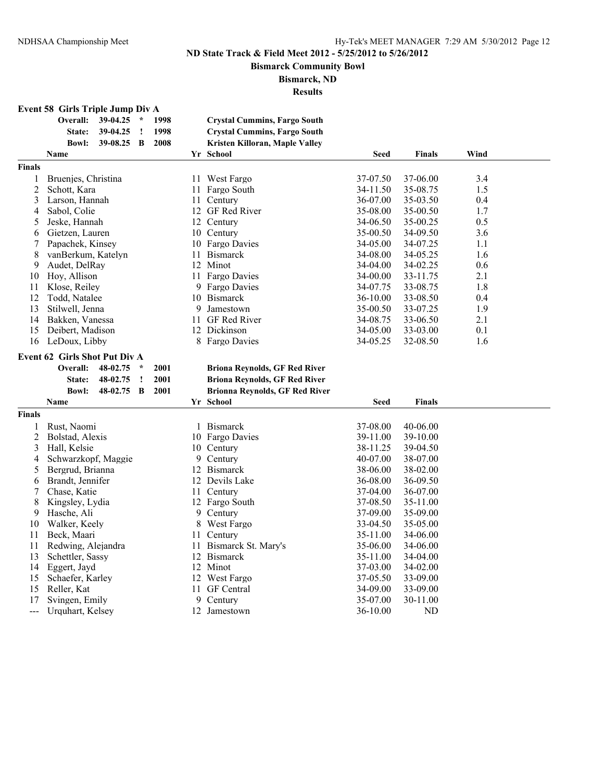**Bismarck Community Bowl**

#### **Bismarck, ND**

**Results**

# **Event 58 Girls Triple Jump Div A**

|                | Overall:                      | 39-04.25 | $\star$ | 1998 |    | <b>Crystal Cummins, Fargo South</b>   |             |               |      |  |
|----------------|-------------------------------|----------|---------|------|----|---------------------------------------|-------------|---------------|------|--|
|                | State:                        | 39-04.25 | 1       | 1998 |    | <b>Crystal Cummins, Fargo South</b>   |             |               |      |  |
|                | <b>Bowl:</b>                  | 39-08.25 | B       | 2008 |    | Kristen Killoran, Maple Valley        |             |               |      |  |
|                | Name                          |          |         |      |    | Yr School                             | <b>Seed</b> | <b>Finals</b> | Wind |  |
| <b>Finals</b>  |                               |          |         |      |    |                                       |             |               |      |  |
| 1              | Bruenjes, Christina           |          |         |      |    | 11 West Fargo                         | 37-07.50    | 37-06.00      | 3.4  |  |
| $\overline{2}$ | Schott, Kara                  |          |         |      | 11 | Fargo South                           | 34-11.50    | 35-08.75      | 1.5  |  |
| 3              | Larson, Hannah                |          |         |      |    | 11 Century                            | 36-07.00    | 35-03.50      | 0.4  |  |
| 4              | Sabol, Colie                  |          |         |      |    | 12 GF Red River                       | 35-08.00    | 35-00.50      | 1.7  |  |
| 5              | Jeske, Hannah                 |          |         |      |    | 12 Century                            | 34-06.50    | 35-00.25      | 0.5  |  |
| 6              | Gietzen, Lauren               |          |         |      |    | 10 Century                            | 35-00.50    | 34-09.50      | 3.6  |  |
| 7              | Papachek, Kinsey              |          |         |      |    | 10 Fargo Davies                       | 34-05.00    | 34-07.25      | 1.1  |  |
| 8              | vanBerkum, Katelyn            |          |         |      | 11 | <b>Bismarck</b>                       | 34-08.00    | 34-05.25      | 1.6  |  |
| 9              | Audet, DelRay                 |          |         |      |    | 12 Minot                              | 34-04.00    | 34-02.25      | 0.6  |  |
| 10             | Hoy, Allison                  |          |         |      |    | 11 Fargo Davies                       | 34-00.00    | 33-11.75      | 2.1  |  |
| 11             | Klose, Reiley                 |          |         |      |    | 9 Fargo Davies                        | 34-07.75    | 33-08.75      | 1.8  |  |
| 12             | Todd, Natalee                 |          |         |      |    | 10 Bismarck                           | 36-10.00    | 33-08.50      | 0.4  |  |
| 13             | Stilwell, Jenna               |          |         |      | 9  | Jamestown                             | 35-00.50    | 33-07.25      | 1.9  |  |
| 14             | Bakken, Vanessa               |          |         |      | 11 | <b>GF</b> Red River                   | 34-08.75    | 33-06.50      | 2.1  |  |
| 15             | Deibert, Madison              |          |         |      |    | 12 Dickinson                          | 34-05.00    |               | 0.1  |  |
|                |                               |          |         |      |    |                                       |             | 33-03.00      | 1.6  |  |
| 16             | LeDoux, Libby                 |          |         |      | 8  | <b>Fargo Davies</b>                   | 34-05.25    | 32-08.50      |      |  |
|                | Event 62 Girls Shot Put Div A |          |         |      |    |                                       |             |               |      |  |
|                | Overall:                      | 48-02.75 | $\star$ | 2001 |    | <b>Briona Reynolds, GF Red River</b>  |             |               |      |  |
|                | State:                        | 48-02.75 | Ţ       | 2001 |    | <b>Briona Reynolds, GF Red River</b>  |             |               |      |  |
|                | <b>Bowl:</b>                  | 48-02.75 | B       | 2001 |    | <b>Brionna Reynolds, GF Red River</b> |             |               |      |  |
|                | Name                          |          |         |      |    | Yr School                             | <b>Seed</b> | <b>Finals</b> |      |  |
| <b>Finals</b>  |                               |          |         |      |    |                                       |             |               |      |  |
| 1              | Rust, Naomi                   |          |         |      | 1  | <b>Bismarck</b>                       | 37-08.00    | 40-06.00      |      |  |
| $\overline{c}$ | Bolstad, Alexis               |          |         |      |    | 10 Fargo Davies                       | 39-11.00    | 39-10.00      |      |  |
| 3              | Hall, Kelsie                  |          |         |      |    | 10 Century                            | 38-11.25    | 39-04.50      |      |  |
| 4              | Schwarzkopf, Maggie           |          |         |      |    | 9 Century                             | 40-07.00    | 38-07.00      |      |  |
| 5              | Bergrud, Brianna              |          |         |      |    | 12 Bismarck                           | 38-06.00    | 38-02.00      |      |  |
| 6              | Brandt, Jennifer              |          |         |      |    | 12 Devils Lake                        | 36-08.00    | 36-09.50      |      |  |
| 7              | Chase, Katie                  |          |         |      |    | 11 Century                            | 37-04.00    | 36-07.00      |      |  |
| 8              | Kingsley, Lydia               |          |         |      |    | 12 Fargo South                        | 37-08.50    | 35-11.00      |      |  |
| 9              | Hasche, Ali                   |          |         |      |    | 9 Century                             | 37-09.00    | 35-09.00      |      |  |
| 10             | Walker, Keely                 |          |         |      | 8  | West Fargo                            | 33-04.50    | 35-05.00      |      |  |
| 11             | Beck, Maari                   |          |         |      |    | 11 Century                            | 35-11.00    | 34-06.00      |      |  |
| 11             | Redwing, Alejandra            |          |         |      |    | 11 Bismarck St. Mary's                | 35-06.00    | 34-06.00      |      |  |
| 13             | Schettler, Sassy              |          |         |      |    | 12 Bismarck                           | 35-11.00    | 34-04.00      |      |  |
| 14             | Eggert, Jayd                  |          |         |      |    | 12 Minot                              | 37-03.00    | 34-02.00      |      |  |
| 15             | Schaefer, Karley              |          |         |      |    | 12 West Fargo                         | 37-05.50    | 33-09.00      |      |  |
| 15             | Reller, Kat                   |          |         |      |    | 11 GF Central                         | 34-09.00    | 33-09.00      |      |  |
| 17             | Svingen, Emily                |          |         |      |    | 9 Century                             | 35-07.00    | 30-11.00      |      |  |
| ---            | Urquhart, Kelsey              |          |         |      |    | 12 Jamestown                          | 36-10.00    | ND            |      |  |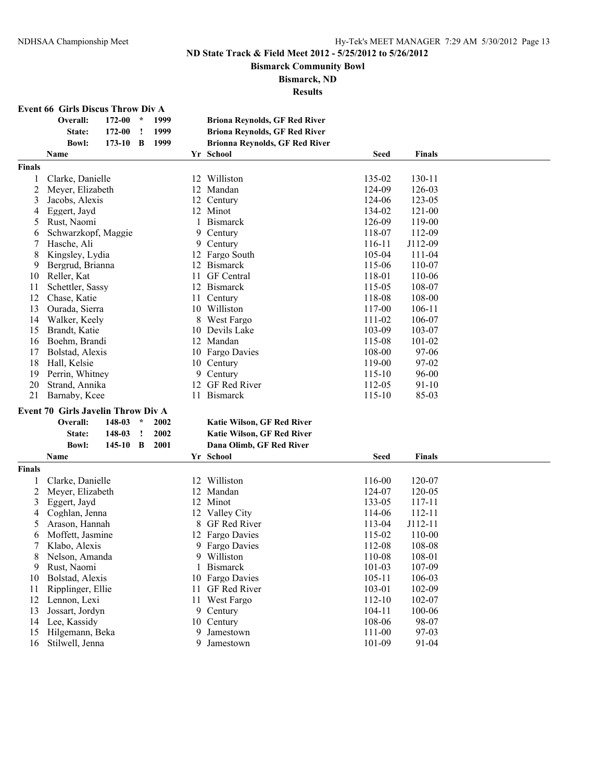**Bismarck Community Bowl**

#### **Bismarck, ND**

| <b>Event 66 Girls Discus Throw Div A</b> |
|------------------------------------------|
|------------------------------------------|

|               | Overall:                           | 172-00 | $\star$ | 1999 |    | <b>Briona Reynolds, GF Red River</b>  |                  |               |  |
|---------------|------------------------------------|--------|---------|------|----|---------------------------------------|------------------|---------------|--|
|               | State:                             | 172-00 | !       | 1999 |    | <b>Briona Reynolds, GF Red River</b>  |                  |               |  |
|               | <b>Bowl:</b>                       | 173-10 | B       | 1999 |    | <b>Brionna Reynolds, GF Red River</b> |                  |               |  |
|               | Name                               |        |         |      |    | Yr School                             | <b>Seed</b>      | <b>Finals</b> |  |
| <b>Finals</b> |                                    |        |         |      |    |                                       |                  |               |  |
|               | Clarke, Danielle                   |        |         |      |    | 12 Williston                          | 135-02           | 130-11        |  |
| 2             | Meyer, Elizabeth                   |        |         |      |    | 12 Mandan                             | 124-09           | 126-03        |  |
| 3             | Jacobs, Alexis                     |        |         |      | 12 | Century                               | 124-06           | 123-05        |  |
| 4             | Eggert, Jayd                       |        |         |      |    | 12 Minot                              | 134-02           | 121-00        |  |
| 5             | Rust, Naomi                        |        |         |      | 1  | <b>Bismarck</b>                       | 126-09           | 119-00        |  |
| 6             | Schwarzkopf, Maggie                |        |         |      |    | 9 Century                             | 118-07           | 112-09        |  |
| 7             | Hasche, Ali                        |        |         |      |    | 9 Century                             | 116-11           | J112-09       |  |
| 8             | Kingsley, Lydia                    |        |         |      |    | 12 Fargo South                        | 105-04           | 111-04        |  |
| 9             | Bergrud, Brianna                   |        |         |      | 12 | <b>Bismarck</b>                       | 115-06           | 110-07        |  |
| 10            | Reller, Kat                        |        |         |      | 11 | GF Central                            | 118-01           | 110-06        |  |
| 11            | Schettler, Sassy                   |        |         |      | 12 | <b>Bismarck</b>                       | 115-05           | 108-07        |  |
| 12            | Chase, Katie                       |        |         |      | 11 | Century                               | 118-08           | 108-00        |  |
| 13            | Ourada, Sierra                     |        |         |      |    | 10 Williston                          | 117-00           | $106 - 11$    |  |
| 14            | Walker, Keely                      |        |         |      |    | 8 West Fargo                          | 111-02           | 106-07        |  |
| 15            | Brandt, Katie                      |        |         |      |    | 10 Devils Lake                        | 103-09           | 103-07        |  |
| 16            | Boehm, Brandi                      |        |         |      |    | 12 Mandan                             | 115-08           | 101-02        |  |
| 17            | Bolstad, Alexis                    |        |         |      |    | 10 Fargo Davies                       | 108-00           | 97-06         |  |
| 18            | Hall, Kelsie                       |        |         |      |    | 10 Century                            | 119-00           | 97-02         |  |
| 19            | Perrin, Whitney                    |        |         |      |    | 9 Century                             | 115-10           | 96-00         |  |
| 20            | Strand, Annika                     |        |         |      |    | 12 GF Red River                       | 112-05           | $91 - 10$     |  |
| 21            | Barnaby, Kcee                      |        |         |      |    | 11 Bismarck                           | 115-10           | 85-03         |  |
|               | Event 70 Girls Javelin Throw Div A |        |         |      |    |                                       |                  |               |  |
|               | Overall:                           | 148-03 | $\star$ | 2002 |    |                                       |                  |               |  |
|               |                                    |        | $\cdot$ |      |    | Katie Wilson, GF Red River            |                  |               |  |
|               | State:<br><b>Bowl:</b>             | 148-03 |         | 2002 |    | Katie Wilson, GF Red River            |                  |               |  |
|               |                                    | 145-10 | B       | 2001 |    | Dana Olimb, GF Red River              |                  |               |  |
|               | Name                               |        |         |      |    | Yr School                             | <b>Seed</b>      | <b>Finals</b> |  |
| <b>Finals</b> |                                    |        |         |      |    |                                       |                  |               |  |
|               | Clarke, Danielle                   |        |         |      |    | 12 Williston                          | 116-00           | 120-07        |  |
| 2             | Meyer, Elizabeth                   |        |         |      |    | 12 Mandan                             | 124-07           | 120-05        |  |
| 3             | Eggert, Jayd                       |        |         |      |    | 12 Minot                              | 133-05           | 117-11        |  |
| 4             | Coghlan, Jenna                     |        |         |      |    | 12 Valley City                        | 114-06           | 112-11        |  |
| 5             | Arason, Hannah                     |        |         |      | 8  | GF Red River                          | 113-04           | J112-11       |  |
| 6             | Moffett, Jasmine                   |        |         |      |    | 12 Fargo Davies                       | 115-02           | 110-00        |  |
|               | Klabo, Alexis                      |        |         |      |    | 9 Fargo Davies                        | 112-08           | 108-08        |  |
| 8             | Nelson, Amanda                     |        |         |      |    | 9 Williston                           | 110-08           | 108-01        |  |
| 9             | Rust, Naomi                        |        |         |      |    | 1 Bismarck                            | 101-03           | 107-09        |  |
| 10            | Bolstad, Alexis                    |        |         |      |    | 10 Fargo Davies                       | $105 - 11$       | 106-03        |  |
| 11            | Ripplinger, Ellie                  |        |         |      |    | 11 GF Red River                       | 103-01           | 102-09        |  |
| 12            | Lennon, Lexi                       |        |         |      | 11 | West Fargo                            | 112-10           | 102-07        |  |
| 13            | Jossart, Jordyn                    |        |         |      |    | 9 Century                             | $104 - 11$       | 100-06        |  |
| 14            | Lee, Kassidy                       |        |         |      |    | 10 Century                            | 108-06           | 98-07         |  |
| 15            | Hilgemann, Beka<br>Stilwell, Jenna |        |         |      |    | 9 Jamestown<br>9 Jamestown            | 111-00<br>101-09 | 97-03         |  |
| 16            |                                    |        |         |      |    |                                       |                  | 91-04         |  |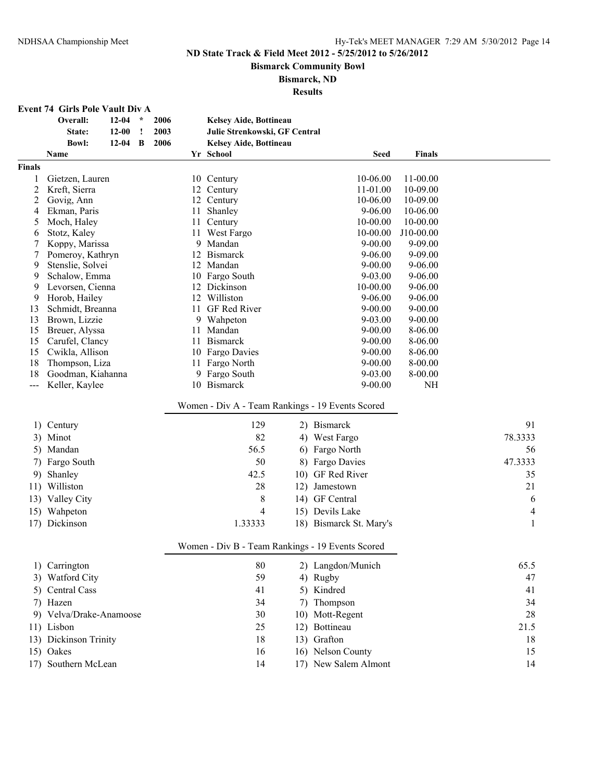**Bismarck Community Bowl**

# **Bismarck, ND**

| <b>Event 74 Girls Pole Vault Div A</b> |  |  |
|----------------------------------------|--|--|
|----------------------------------------|--|--|

|                | Overall:                | $12 - 04$ | $\star$ | 2006 |    | Kelsey Aide, Bottineau        |                                                  |               |         |
|----------------|-------------------------|-----------|---------|------|----|-------------------------------|--------------------------------------------------|---------------|---------|
|                | State:                  | $12 - 00$ | Ţ       | 2003 |    | Julie Strenkowski, GF Central |                                                  |               |         |
|                | <b>Bowl:</b>            | $12 - 04$ | B       | 2006 |    | Kelsey Aide, Bottineau        |                                                  |               |         |
|                | <b>Name</b>             |           |         |      |    | Yr School                     | <b>Seed</b>                                      | <b>Finals</b> |         |
| Finals         |                         |           |         |      |    |                               |                                                  |               |         |
| 1              | Gietzen, Lauren         |           |         |      |    | 10 Century                    | 10-06.00                                         | 11-00.00      |         |
| $\overline{c}$ | Kreft, Sierra           |           |         |      |    | 12 Century                    | 11-01.00                                         | 10-09.00      |         |
| 2              | Govig, Ann              |           |         |      |    | 12 Century                    | 10-06.00                                         | 10-09.00      |         |
| 4              | Ekman, Paris            |           |         |      | 11 | Shanley                       | $9 - 06.00$                                      | 10-06.00      |         |
| 5              | Moch, Haley             |           |         |      |    | 11 Century                    | 10-00.00                                         | 10-00.00      |         |
| 6              | Stotz, Kaley            |           |         |      | 11 | West Fargo                    | 10-00.00                                         | J10-00.00     |         |
| 7              | Koppy, Marissa          |           |         |      |    | 9 Mandan                      | $9 - 00.00$                                      | $9 - 09.00$   |         |
| 7              | Pomeroy, Kathryn        |           |         |      | 12 | <b>Bismarck</b>               | $9 - 06.00$                                      | 9-09.00       |         |
| 9              | Stenslie, Solvei        |           |         |      | 12 | Mandan                        | $9 - 00.00$                                      | $9 - 06.00$   |         |
| 9              | Schalow, Emma           |           |         |      |    | 10 Fargo South                | 9-03.00                                          | 9-06.00       |         |
| 9              | Levorsen, Cienna        |           |         |      |    | 12 Dickinson                  | 10-00.00                                         | $9 - 06.00$   |         |
| 9              | Horob, Hailey           |           |         |      |    | 12 Williston                  | $9 - 06.00$                                      | $9 - 06.00$   |         |
| 13             | Schmidt, Breanna        |           |         |      |    | 11 GF Red River               | $9 - 00.00$                                      | $9 - 00.00$   |         |
| 13             | Brown, Lizzie           |           |         |      |    | 9 Wahpeton                    | 9-03.00                                          | $9 - 00.00$   |         |
| 15             | Breuer, Alyssa          |           |         |      | 11 | Mandan                        | $9 - 00.00$                                      | 8-06.00       |         |
| 15             | Carufel, Clancy         |           |         |      | 11 | <b>Bismarck</b>               | $9 - 00.00$                                      | $8-06.00$     |         |
| 15             | Cwikla, Allison         |           |         |      |    | 10 Fargo Davies               | $9 - 00.00$                                      | 8-06.00       |         |
| 18             | Thompson, Liza          |           |         |      | 11 | Fargo North                   | $9 - 00.00$                                      | 8-00.00       |         |
| 18             | Goodman, Kiahanna       |           |         |      |    | 9 Fargo South                 | 9-03.00                                          | 8-00.00       |         |
| $---$          | Keller, Kaylee          |           |         |      |    | 10 Bismarck                   | $9 - 00.00$                                      | NH            |         |
|                |                         |           |         |      |    |                               | Women - Div A - Team Rankings - 19 Events Scored |               |         |
| 1)             | Century                 |           |         |      |    | 129                           | 2) Bismarck                                      |               | 91      |
|                | 3) Minot                |           |         |      |    | 82                            | 4) West Fargo                                    |               | 78.3333 |
| 5)             | Mandan                  |           |         |      |    | 56.5                          | 6) Fargo North                                   |               | 56      |
| 7)             | Fargo South             |           |         |      |    | 50                            | 8) Fargo Davies                                  |               | 47.3333 |
| 9)             | Shanley                 |           |         |      |    | 42.5                          | 10) GF Red River                                 |               | 35      |
| 11)            | Williston               |           |         |      |    | 28                            | 12) Jamestown                                    |               | 21      |
|                |                         |           |         |      |    |                               | 14) GF Central                                   |               |         |
|                | 13) Valley City         |           |         |      |    | 8                             |                                                  |               | 6       |
|                | 15) Wahpeton            |           |         |      |    | 4                             | 15) Devils Lake                                  |               | 4       |
|                | 17) Dickinson           |           |         |      |    | 1.33333                       | 18) Bismarck St. Mary's                          |               | 1       |
|                |                         |           |         |      |    |                               | Women - Div B - Team Rankings - 19 Events Scored |               |         |
|                | 1) Carrington           |           |         |      |    | 80                            | 2) Langdon/Munich                                |               | 65.5    |
|                | 3) Watford City         |           |         |      |    | 59                            | 4) Rugby                                         |               | 47      |
|                | 5) Central Cass         |           |         |      |    | 41                            | 5) Kindred                                       |               | 41      |
|                | 7) Hazen                |           |         |      |    | 34                            | 7) Thompson                                      |               | 34      |
|                | 9) Velva/Drake-Anamoose |           |         |      |    | 30                            | 10) Mott-Regent                                  |               | 28      |
|                | 11) Lisbon              |           |         |      |    | 25                            | 12) Bottineau                                    |               | 21.5    |
|                |                         |           |         |      |    |                               |                                                  |               |         |
|                | 13) Dickinson Trinity   |           |         |      |    | 18                            | 13) Grafton                                      |               | 18      |
|                | 15) Oakes               |           |         |      |    | 16                            | 16) Nelson County                                |               | 15      |
|                | 17) Southern McLean     |           |         |      |    | 14                            | 17) New Salem Almont                             |               | 14      |